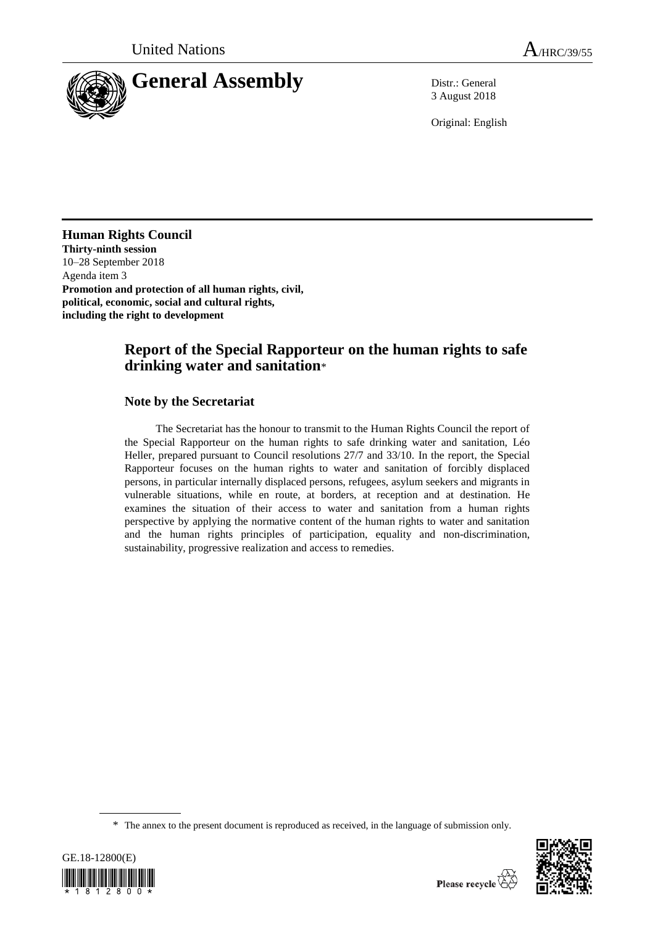

3 August 2018

Original: English

**Human Rights Council Thirty-ninth session**  10–28 September 2018 Agenda item 3 **Promotion and protection of all human rights, civil, political, economic, social and cultural rights, including the right to development**

# **Report of the Special Rapporteur on the human rights to safe drinking water and sanitation**\*

### **Note by the Secretariat**

The Secretariat has the honour to transmit to the Human Rights Council the report of the Special Rapporteur on the human rights to safe drinking water and sanitation, Léo Heller, prepared pursuant to Council resolutions 27/7 and 33/10. In the report, the Special Rapporteur focuses on the human rights to water and sanitation of forcibly displaced persons, in particular internally displaced persons, refugees, asylum seekers and migrants in vulnerable situations, while en route, at borders, at reception and at destination. He examines the situation of their access to water and sanitation from a human rights perspective by applying the normative content of the human rights to water and sanitation and the human rights principles of participation, equality and non-discrimination, sustainability, progressive realization and access to remedies.

<sup>\*</sup> The annex to the present document is reproduced as received, in the language of submission only.



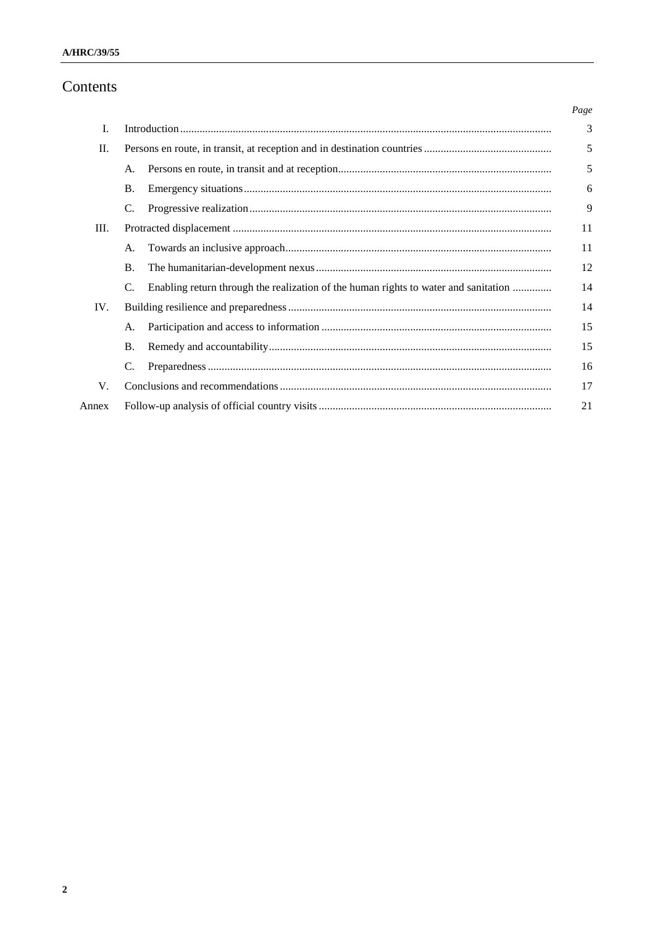# Contents

|       |                                                                                           | Page |
|-------|-------------------------------------------------------------------------------------------|------|
| I.    |                                                                                           | 3    |
| П.    |                                                                                           | 5    |
|       | A.                                                                                        | 5    |
|       | <b>B.</b>                                                                                 | 6    |
|       | C.                                                                                        | 9    |
| Ш.    |                                                                                           | 11   |
|       | A.                                                                                        | 11   |
|       | <b>B.</b>                                                                                 | 12   |
|       | Enabling return through the realization of the human rights to water and sanitation<br>C. | 14   |
| IV.   |                                                                                           | 14   |
|       | A.                                                                                        | 15   |
|       | <b>B.</b>                                                                                 | 15   |
|       | C.                                                                                        | 16   |
| V.    |                                                                                           |      |
| Annex |                                                                                           |      |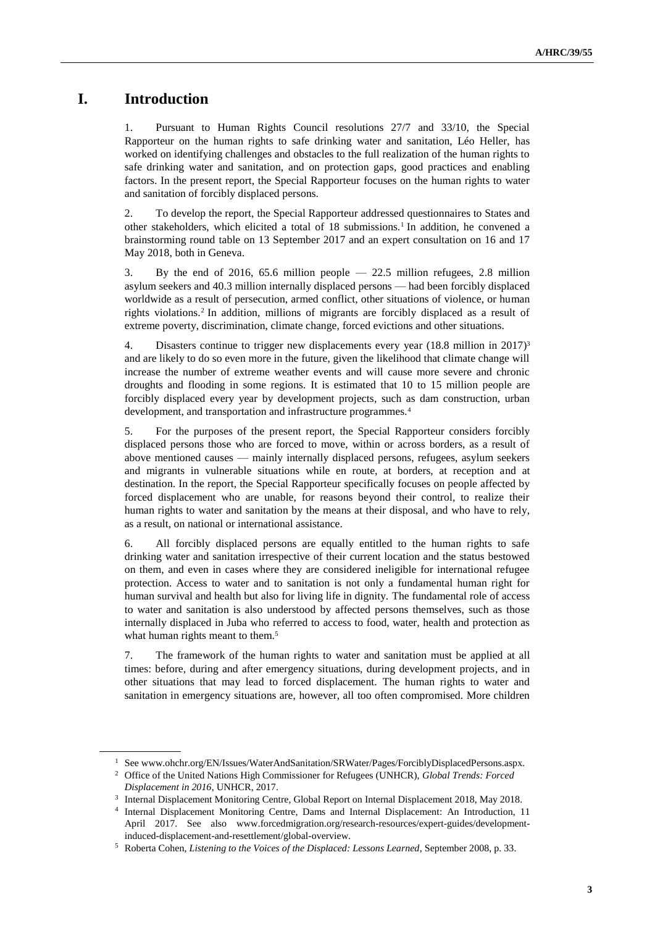## **I. Introduction**

1. Pursuant to Human Rights Council resolutions 27/7 and 33/10, the Special Rapporteur on the human rights to safe drinking water and sanitation, Léo Heller, has worked on identifying challenges and obstacles to the full realization of the human rights to safe drinking water and sanitation, and on protection gaps, good practices and enabling factors. In the present report, the Special Rapporteur focuses on the human rights to water and sanitation of forcibly displaced persons.

2. To develop the report, the Special Rapporteur addressed questionnaires to States and other stakeholders, which elicited a total of 18 submissions.<sup>1</sup> In addition, he convened a brainstorming round table on 13 September 2017 and an expert consultation on 16 and 17 May 2018, both in Geneva.

3. By the end of 2016, 65.6 million people — 22.5 million refugees, 2.8 million asylum seekers and 40.3 million internally displaced persons — had been forcibly displaced worldwide as a result of persecution, armed conflict, other situations of violence, or human rights violations. 2 In addition, millions of migrants are forcibly displaced as a result of extreme poverty, discrimination, climate change, forced evictions and other situations.

4. Disasters continue to trigger new displacements every year (18.8 million in 2017)<sup>3</sup> and are likely to do so even more in the future, given the likelihood that climate change will increase the number of extreme weather events and will cause more severe and chronic droughts and flooding in some regions. It is estimated that 10 to 15 million people are forcibly displaced every year by development projects, such as dam construction, urban development, and transportation and infrastructure programmes.<sup>4</sup>

5. For the purposes of the present report, the Special Rapporteur considers forcibly displaced persons those who are forced to move, within or across borders, as a result of above mentioned causes — mainly internally displaced persons, refugees, asylum seekers and migrants in vulnerable situations while en route, at borders, at reception and at destination. In the report, the Special Rapporteur specifically focuses on people affected by forced displacement who are unable, for reasons beyond their control, to realize their human rights to water and sanitation by the means at their disposal, and who have to rely, as a result, on national or international assistance.

6. All forcibly displaced persons are equally entitled to the human rights to safe drinking water and sanitation irrespective of their current location and the status bestowed on them, and even in cases where they are considered ineligible for international refugee protection. Access to water and to sanitation is not only a fundamental human right for human survival and health but also for living life in dignity. The fundamental role of access to water and sanitation is also understood by affected persons themselves, such as those internally displaced in Juba who referred to access to food, water, health and protection as what human rights meant to them.<sup>5</sup>

7. The framework of the human rights to water and sanitation must be applied at all times: before, during and after emergency situations, during development projects, and in other situations that may lead to forced displacement. The human rights to water and sanitation in emergency situations are, however, all too often compromised. More children

<sup>1</sup> See www.ohchr.org/EN/Issues/WaterAndSanitation/SRWater/Pages/ForciblyDisplacedPersons.aspx.

<sup>2</sup> Office of the United Nations High Commissioner for Refugees (UNHCR), *Global Trends: Forced Displacement in 2016*, UNHCR, 2017.

<sup>3</sup> Internal Displacement Monitoring Centre, Global Report on Internal Displacement 2018, May 2018.

<sup>4</sup> Internal Displacement Monitoring Centre, Dams and Internal Displacement: An Introduction, 11 April 2017. See also [www.forcedmigration.org/research-resources/expert-guides/development](file:///C:/Users/mcparland/Downloads/www.forcedmigration.org/research-resources/expert-guides/development-induced-displacement-and-resettlement/global-overview)[induced-displacement-and-resettlement/global-overview.](file:///C:/Users/mcparland/Downloads/www.forcedmigration.org/research-resources/expert-guides/development-induced-displacement-and-resettlement/global-overview)

<sup>5</sup> Roberta Cohen, *Listening to the Voices of the Displaced: Lessons Learned*, September 2008, p. 33.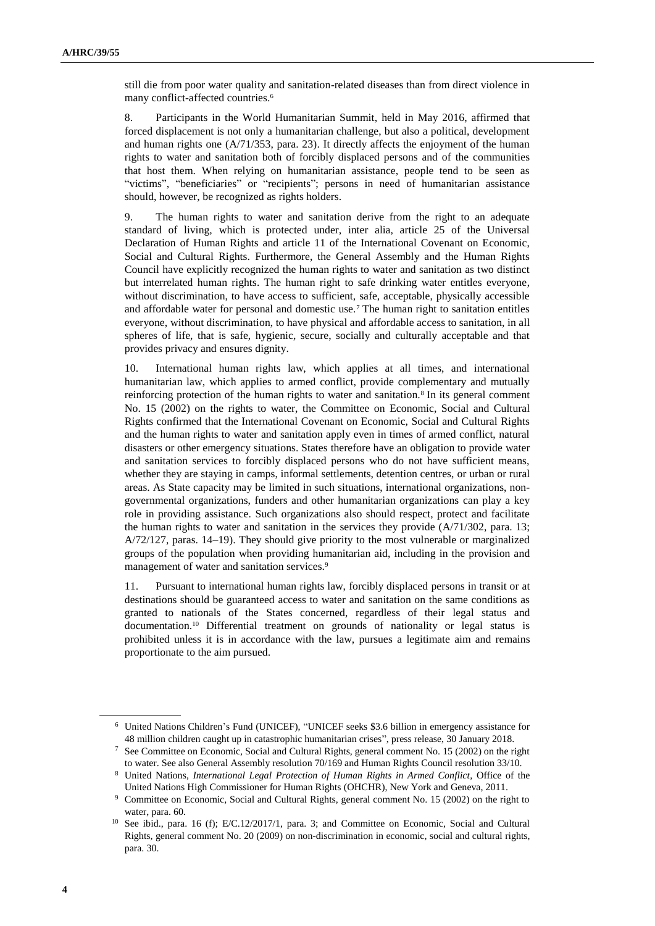still die from poor water quality and sanitation-related diseases than from direct violence in many conflict-affected countries.<sup>6</sup>

8. Participants in the World Humanitarian Summit, held in May 2016, affirmed that forced displacement is not only a humanitarian challenge, but also a political, development and human rights one  $(A/71/353, \text{ para. } 23)$ . It directly affects the enjoyment of the human rights to water and sanitation both of forcibly displaced persons and of the communities that host them. When relying on humanitarian assistance, people tend to be seen as "victims", "beneficiaries" or "recipients"; persons in need of humanitarian assistance should, however, be recognized as rights holders.

9. The human rights to water and sanitation derive from the right to an adequate standard of living, which is protected under, inter alia, article 25 of the Universal Declaration of Human Rights and article 11 of the International Covenant on Economic, Social and Cultural Rights. Furthermore, the General Assembly and the Human Rights Council have explicitly recognized the human rights to water and sanitation as two distinct but interrelated human rights. The human right to safe drinking water entitles everyone, without discrimination, to have access to sufficient, safe, acceptable, physically accessible and affordable water for personal and domestic use.<sup>7</sup> The human right to sanitation entitles everyone, without discrimination, to have physical and affordable access to sanitation, in all spheres of life, that is safe, hygienic, secure, socially and culturally acceptable and that provides privacy and ensures dignity.

10. International human rights law, which applies at all times, and international humanitarian law, which applies to armed conflict, provide complementary and mutually reinforcing protection of the human rights to water and sanitation.<sup>8</sup> In its general comment No. 15 (2002) on the rights to water, the Committee on Economic, Social and Cultural Rights confirmed that the International Covenant on Economic, Social and Cultural Rights and the human rights to water and sanitation apply even in times of armed conflict, natural disasters or other emergency situations. States therefore have an obligation to provide water and sanitation services to forcibly displaced persons who do not have sufficient means, whether they are staying in camps, informal settlements, detention centres, or urban or rural areas. As State capacity may be limited in such situations, international organizations, nongovernmental organizations, funders and other humanitarian organizations can play a key role in providing assistance. Such organizations also should respect, protect and facilitate the human rights to water and sanitation in the services they provide  $(A/71/302, \text{ para. } 13;$ A/72/127, paras. 14–19). They should give priority to the most vulnerable or marginalized groups of the population when providing humanitarian aid, including in the provision and management of water and sanitation services.<sup>9</sup>

11. Pursuant to international human rights law, forcibly displaced persons in transit or at destinations should be guaranteed access to water and sanitation on the same conditions as granted to nationals of the States concerned, regardless of their legal status and documentation.<sup>10</sup> Differential treatment on grounds of nationality or legal status is prohibited unless it is in accordance with the law, pursues a legitimate aim and remains proportionate to the aim pursued.

<sup>6</sup> United Nations Children's Fund (UNICEF), "UNICEF seeks \$3.6 billion in emergency assistance for 48 million children caught up in catastrophic humanitarian crises", press release, 30 January 2018.

<sup>7</sup> See Committee on Economic, Social and Cultural Rights, general comment No. 15 (2002) on the right to water. See also General Assembly resolution 70/169 and Human Rights Council resolution 33/10.

<sup>8</sup> United Nations, *International Legal Protection of Human Rights in Armed Conflict*, Office of the United Nations High Commissioner for Human Rights (OHCHR), New York and Geneva, 2011.

<sup>&</sup>lt;sup>9</sup> Committee on Economic, Social and Cultural Rights, general comment No. 15 (2002) on the right to water, para. 60.

<sup>&</sup>lt;sup>10</sup> See ibid., para. 16 (f); E/C.12/2017/1, para. 3; and Committee on Economic, Social and Cultural Rights, general comment No. 20 (2009) on non-discrimination in economic, social and cultural rights, para. 30.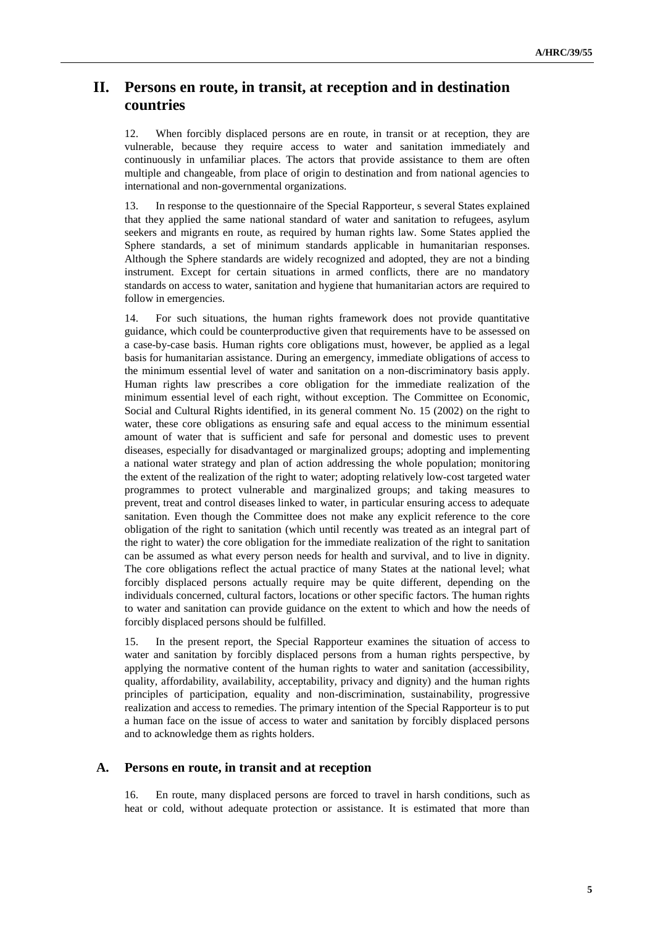## **II. Persons en route, in transit, at reception and in destination countries**

12. When forcibly displaced persons are en route, in transit or at reception, they are vulnerable, because they require access to water and sanitation immediately and continuously in unfamiliar places. The actors that provide assistance to them are often multiple and changeable, from place of origin to destination and from national agencies to international and non-governmental organizations.

13. In response to the questionnaire of the Special Rapporteur, s several States explained that they applied the same national standard of water and sanitation to refugees, asylum seekers and migrants en route, as required by human rights law. Some States applied the Sphere standards, a set of minimum standards applicable in humanitarian responses. Although the Sphere standards are widely recognized and adopted, they are not a binding instrument. Except for certain situations in armed conflicts, there are no mandatory standards on access to water, sanitation and hygiene that humanitarian actors are required to follow in emergencies.

14. For such situations, the human rights framework does not provide quantitative guidance, which could be counterproductive given that requirements have to be assessed on a case-by-case basis. Human rights core obligations must, however, be applied as a legal basis for humanitarian assistance. During an emergency, immediate obligations of access to the minimum essential level of water and sanitation on a non-discriminatory basis apply. Human rights law prescribes a core obligation for the immediate realization of the minimum essential level of each right, without exception. The Committee on Economic, Social and Cultural Rights identified, in its general comment No. 15 (2002) on the right to water, these core obligations as ensuring safe and equal access to the minimum essential amount of water that is sufficient and safe for personal and domestic uses to prevent diseases, especially for disadvantaged or marginalized groups; adopting and implementing a national water strategy and plan of action addressing the whole population; monitoring the extent of the realization of the right to water; adopting relatively low-cost targeted water programmes to protect vulnerable and marginalized groups; and taking measures to prevent, treat and control diseases linked to water, in particular ensuring access to adequate sanitation. Even though the Committee does not make any explicit reference to the core obligation of the right to sanitation (which until recently was treated as an integral part of the right to water) the core obligation for the immediate realization of the right to sanitation can be assumed as what every person needs for health and survival, and to live in dignity. The core obligations reflect the actual practice of many States at the national level; what forcibly displaced persons actually require may be quite different, depending on the individuals concerned, cultural factors, locations or other specific factors. The human rights to water and sanitation can provide guidance on the extent to which and how the needs of forcibly displaced persons should be fulfilled.

15. In the present report, the Special Rapporteur examines the situation of access to water and sanitation by forcibly displaced persons from a human rights perspective, by applying the normative content of the human rights to water and sanitation (accessibility, quality, affordability, availability, acceptability, privacy and dignity) and the human rights principles of participation, equality and non-discrimination, sustainability, progressive realization and access to remedies. The primary intention of the Special Rapporteur is to put a human face on the issue of access to water and sanitation by forcibly displaced persons and to acknowledge them as rights holders.

### **A. Persons en route, in transit and at reception**

16. En route, many displaced persons are forced to travel in harsh conditions, such as heat or cold, without adequate protection or assistance. It is estimated that more than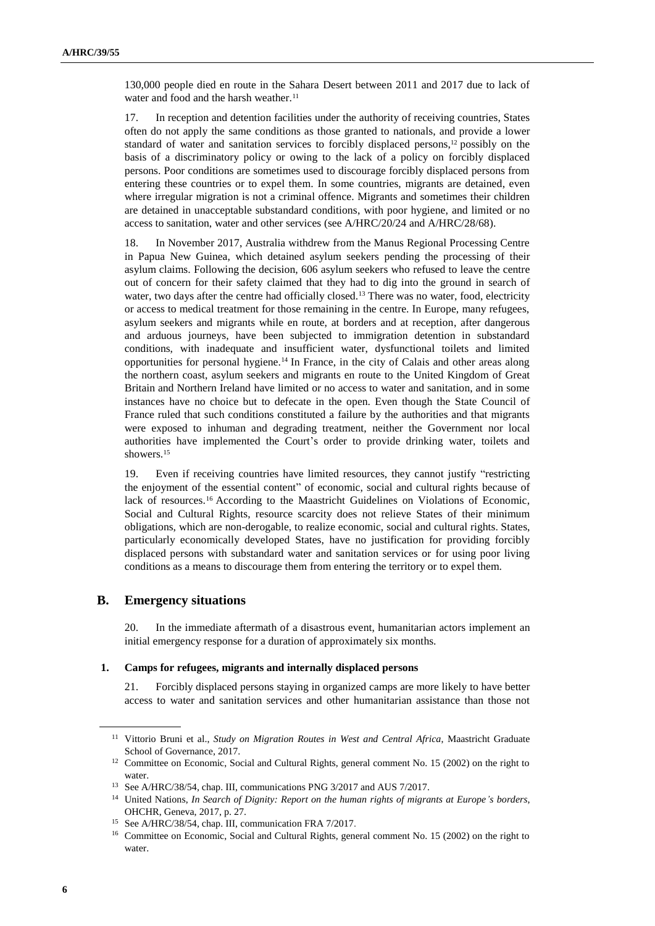130,000 people died en route in the Sahara Desert between 2011 and 2017 due to lack of water and food and the harsh weather.<sup>11</sup>

17. In reception and detention facilities under the authority of receiving countries, States often do not apply the same conditions as those granted to nationals, and provide a lower standard of water and sanitation services to forcibly displaced persons, <sup>12</sup> possibly on the basis of a discriminatory policy or owing to the lack of a policy on forcibly displaced persons. Poor conditions are sometimes used to discourage forcibly displaced persons from entering these countries or to expel them. In some countries, migrants are detained, even where irregular migration is not a criminal offence. Migrants and sometimes their children are detained in unacceptable substandard conditions, with poor hygiene, and limited or no access to sanitation, water and other services (see A/HRC/20/24 and A/HRC/28/68).

18. In November 2017, Australia withdrew from the Manus Regional Processing Centre in Papua New Guinea, which detained asylum seekers pending the processing of their asylum claims. Following the decision, 606 asylum seekers who refused to leave the centre out of concern for their safety claimed that they had to dig into the ground in search of water, two days after the centre had officially closed.<sup>13</sup> There was no water, food, electricity or access to medical treatment for those remaining in the centre. In Europe, many refugees, asylum seekers and migrants while en route, at borders and at reception, after dangerous and arduous journeys, have been subjected to immigration detention in substandard conditions, with inadequate and insufficient water, dysfunctional toilets and limited opportunities for personal hygiene.<sup>14</sup> In France, in the city of Calais and other areas along the northern coast, asylum seekers and migrants en route to the United Kingdom of Great Britain and Northern Ireland have limited or no access to water and sanitation, and in some instances have no choice but to defecate in the open. Even though the State Council of France ruled that such conditions constituted a failure by the authorities and that migrants were exposed to inhuman and degrading treatment, neither the Government nor local authorities have implemented the Court's order to provide drinking water, toilets and showers.<sup>15</sup>

19. Even if receiving countries have limited resources, they cannot justify "restricting the enjoyment of the essential content" of economic, social and cultural rights because of lack of resources.<sup>16</sup> According to the Maastricht Guidelines on Violations of Economic, Social and Cultural Rights, resource scarcity does not relieve States of their minimum obligations, which are non-derogable, to realize economic, social and cultural rights. States, particularly economically developed States, have no justification for providing forcibly displaced persons with substandard water and sanitation services or for using poor living conditions as a means to discourage them from entering the territory or to expel them.

#### **B. Emergency situations**

20. In the immediate aftermath of a disastrous event, humanitarian actors implement an initial emergency response for a duration of approximately six months.

#### **1. Camps for refugees, migrants and internally displaced persons**

21. Forcibly displaced persons staying in organized camps are more likely to have better access to water and sanitation services and other humanitarian assistance than those not

<sup>11</sup> Vittorio Bruni et al., *Study on Migration Routes in West and Central Africa*, Maastricht Graduate School of Governance, 2017.

<sup>&</sup>lt;sup>12</sup> Committee on Economic, Social and Cultural Rights, general comment No. 15 (2002) on the right to water.

<sup>13</sup> See A/HRC/38/54, chap. III, communications [PNG 3/2017](https://spcommreports.ohchr.org/TMResultsBase/DownLoadPublicCommunicationFile?gId=23433) and [AUS 7/2017.](https://spcommreports.ohchr.org/TMResultsBase/DownLoadPublicCommunicationFile?gId=23434)

<sup>14</sup> United Nations, *In Search of Dignity: Report on the human rights of migrants at Europe's borders*, OHCHR, Geneva, 2017, p. 27.

<sup>15</sup> See A/HRC/38/54, chap. III, communication FRA [7/2017.](https://spcommreports.ohchr.org/TMResultsBase/DownLoadPublicCommunicationFile?gId=23375)

<sup>&</sup>lt;sup>16</sup> Committee on Economic, Social and Cultural Rights, general comment No. 15 (2002) on the right to water.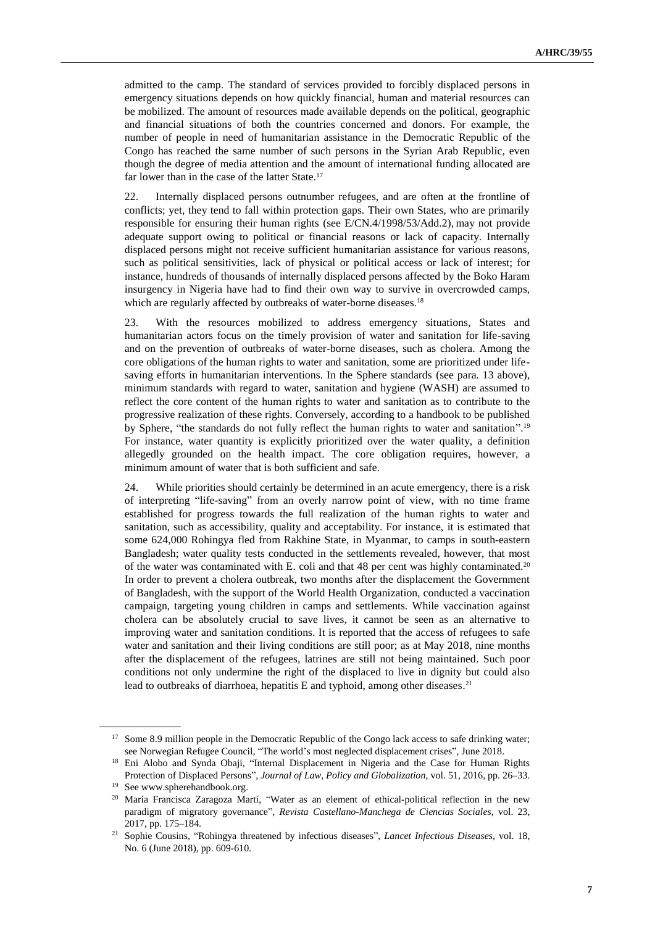admitted to the camp. The standard of services provided to forcibly displaced persons in emergency situations depends on how quickly financial, human and material resources can be mobilized. The amount of resources made available depends on the political, geographic and financial situations of both the countries concerned and donors. For example, the number of people in need of humanitarian assistance in the Democratic Republic of the Congo has reached the same number of such persons in the Syrian Arab Republic, even though the degree of media attention and the amount of international funding allocated are far lower than in the case of the latter State.<sup>17</sup>

22. Internally displaced persons outnumber refugees, and are often at the frontline of conflicts; yet, they tend to fall within protection gaps. Their own States, who are primarily responsible for ensuring their human rights (see E/CN.4/1998/53/Add.2), may not provide adequate support owing to political or financial reasons or lack of capacity. Internally displaced persons might not receive sufficient humanitarian assistance for various reasons, such as political sensitivities, lack of physical or political access or lack of interest; for instance, hundreds of thousands of internally displaced persons affected by the Boko Haram insurgency in Nigeria have had to find their own way to survive in overcrowded camps, which are regularly affected by outbreaks of water-borne diseases.<sup>18</sup>

23. With the resources mobilized to address emergency situations, States and humanitarian actors focus on the timely provision of water and sanitation for life-saving and on the prevention of outbreaks of water-borne diseases, such as cholera. Among the core obligations of the human rights to water and sanitation, some are prioritized under lifesaving efforts in humanitarian interventions. In the Sphere standards (see para. 13 above), minimum standards with regard to water, sanitation and hygiene (WASH) are assumed to reflect the core content of the human rights to water and sanitation as to contribute to the progressive realization of these rights. Conversely, according to a handbook to be published by Sphere, "the standards do not fully reflect the human rights to water and sanitation".<sup>19</sup> For instance, water quantity is explicitly prioritized over the water quality, a definition allegedly grounded on the health impact. The core obligation requires, however, a minimum amount of water that is both sufficient and safe.

24. While priorities should certainly be determined in an acute emergency, there is a risk of interpreting "life-saving" from an overly narrow point of view, with no time frame established for progress towards the full realization of the human rights to water and sanitation, such as accessibility, quality and acceptability. For instance, it is estimated that some 624,000 Rohingya fled from Rakhine State, in Myanmar, to camps in south-eastern Bangladesh; water quality tests conducted in the settlements revealed, however, that most of the water was contaminated with E. coli and that 48 per cent was highly contaminated.<sup>20</sup> In order to prevent a cholera outbreak, two months after the displacement the Government of Bangladesh, with the support of the World Health Organization, conducted a vaccination campaign, targeting young children in camps and settlements. While vaccination against cholera can be absolutely crucial to save lives, it cannot be seen as an alternative to improving water and sanitation conditions. It is reported that the access of refugees to safe water and sanitation and their living conditions are still poor; as at May 2018, nine months after the displacement of the refugees, latrines are still not being maintained. Such poor conditions not only undermine the right of the displaced to live in dignity but could also lead to outbreaks of diarrhoea, hepatitis E and typhoid, among other diseases.<sup>21</sup>

<sup>&</sup>lt;sup>17</sup> Some 8.9 million people in the Democratic Republic of the Congo lack access to safe drinking water; see Norwegian Refugee Council, "The world's most neglected displacement crises", June 2018.

<sup>&</sup>lt;sup>18</sup> Eni Alobo and Synda Obaji, "Internal Displacement in Nigeria and the Case for Human Rights Protection of Displaced Persons", *Journal of Law, Policy and Globalization*, vol. 51, 2016, pp. 26–33.

<sup>19</sup> See www.spherehandbook.org.

<sup>20</sup> María Francisca Zaragoza Martí, "Water as an element of ethical-political reflection in the new paradigm of migratory governance", *Revista Castellano-Manchega de Ciencias Sociales*, vol. 23, 2017, pp. 175–184.

<sup>21</sup> Sophie Cousins, "Rohingya threatened by infectious diseases", *Lancet Infectious Diseases*, vol. 18, No. 6 (June 2018), pp. 609-610.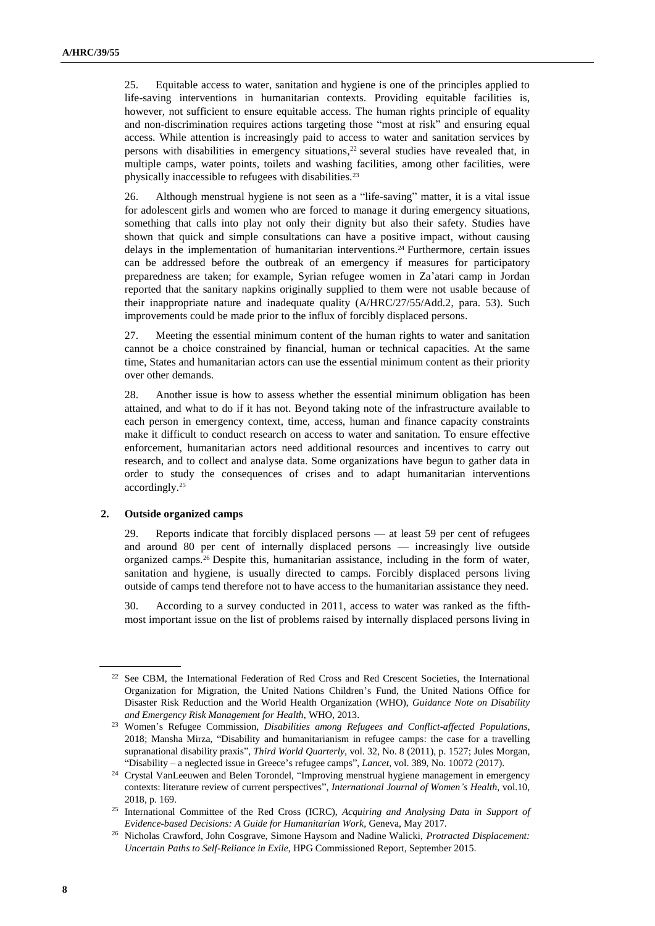25. Equitable access to water, sanitation and hygiene is one of the principles applied to life-saving interventions in humanitarian contexts. Providing equitable facilities is, however, not sufficient to ensure equitable access. The human rights principle of equality and non-discrimination requires actions targeting those "most at risk" and ensuring equal access. While attention is increasingly paid to access to water and sanitation services by persons with disabilities in emergency situations, <sup>22</sup> several studies have revealed that, in multiple camps, water points, toilets and washing facilities, among other facilities, were physically inaccessible to refugees with disabilities.<sup>23</sup>

26. Although menstrual hygiene is not seen as a "life-saving" matter, it is a vital issue for adolescent girls and women who are forced to manage it during emergency situations, something that calls into play not only their dignity but also their safety. Studies have shown that quick and simple consultations can have a positive impact, without causing delays in the implementation of humanitarian interventions. <sup>24</sup> Furthermore, certain issues can be addressed before the outbreak of an emergency if measures for participatory preparedness are taken; for example, Syrian refugee women in Za'atari camp in Jordan reported that the sanitary napkins originally supplied to them were not usable because of their inappropriate nature and inadequate quality (A/HRC/27/55/Add.2, para. 53). Such improvements could be made prior to the influx of forcibly displaced persons.

27. Meeting the essential minimum content of the human rights to water and sanitation cannot be a choice constrained by financial, human or technical capacities. At the same time, States and humanitarian actors can use the essential minimum content as their priority over other demands.

28. Another issue is how to assess whether the essential minimum obligation has been attained, and what to do if it has not. Beyond taking note of the infrastructure available to each person in emergency context, time, access, human and finance capacity constraints make it difficult to conduct research on access to water and sanitation. To ensure effective enforcement, humanitarian actors need additional resources and incentives to carry out research, and to collect and analyse data. Some organizations have begun to gather data in order to study the consequences of crises and to adapt humanitarian interventions accordingly. 25

#### **2. Outside organized camps**

29. Reports indicate that forcibly displaced persons — at least 59 per cent of refugees and around 80 per cent of internally displaced persons — increasingly live outside organized camps.<sup>26</sup> Despite this, humanitarian assistance, including in the form of water, sanitation and hygiene, is usually directed to camps. Forcibly displaced persons living outside of camps tend therefore not to have access to the humanitarian assistance they need.

30. According to a survey conducted in 2011, access to water was ranked as the fifthmost important issue on the list of problems raised by internally displaced persons living in

<sup>&</sup>lt;sup>22</sup> See CBM, the International Federation of Red Cross and Red Crescent Societies, the International Organization for Migration, the United Nations Children's Fund, the United Nations Office for Disaster Risk Reduction and the World Health Organization (WHO), *Guidance Note on Disability and Emergency Risk Management for Health*, WHO, 2013.

<sup>23</sup> Women's Refugee Commission, *Disabilities among Refugees and Conflict-affected Populations*, 2018; Mansha Mirza, "Disability and humanitarianism in refugee camps: the case for a travelling supranational disability praxis", *Third World Quarterly*, vol. 32, No. 8 (2011), p. 1527; Jules Morgan, "Disability – a neglected issue in Greece's refugee camps", *Lancet*, vol. 389, No. 10072 (2017).

<sup>&</sup>lt;sup>24</sup> Crystal VanLeeuwen and Belen Torondel, "Improving menstrual hygiene management in emergency contexts: literature review of current perspectives", *International Journal of Women's Health*, vol.10, 2018, p. 169.

<sup>25</sup> International Committee of the Red Cross (ICRC), *Acquiring and Analysing Data in Support of Evidence-based Decisions: A Guide for Humanitarian Work*, Geneva, May 2017.

<sup>26</sup> Nicholas Crawford, John Cosgrave, Simone Haysom and Nadine Walicki, *Protracted Displacement: Uncertain Paths to Self-Reliance in Exile*, HPG Commissioned Report, September 2015.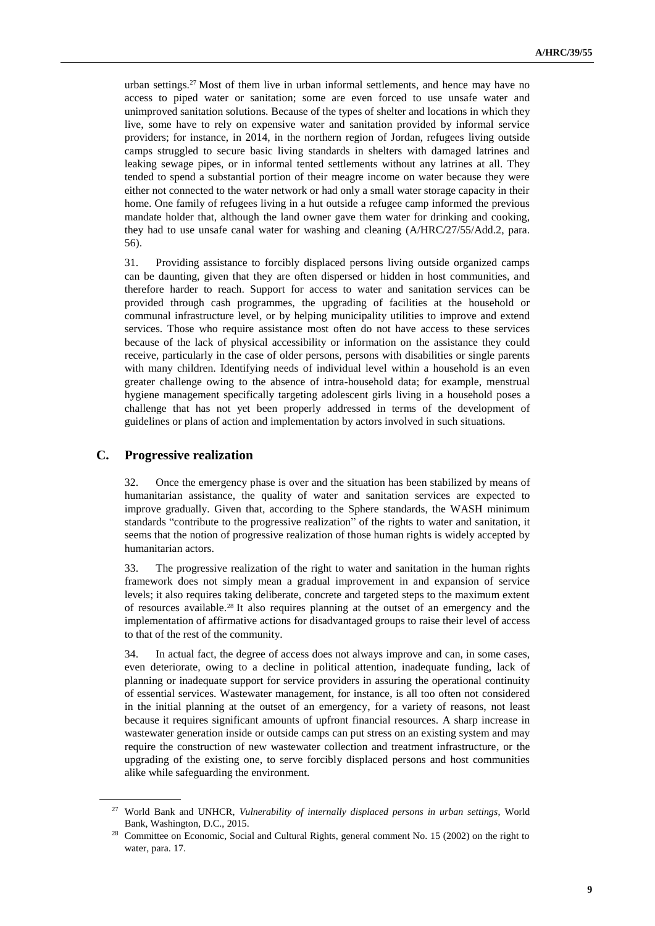urban settings.<sup>27</sup> Most of them live in urban informal settlements, and hence may have no access to piped water or sanitation; some are even forced to use unsafe water and unimproved sanitation solutions. Because of the types of shelter and locations in which they live, some have to rely on expensive water and sanitation provided by informal service providers; for instance, in 2014, in the northern region of Jordan, refugees living outside camps struggled to secure basic living standards in shelters with damaged latrines and leaking sewage pipes, or in informal tented settlements without any latrines at all. They tended to spend a substantial portion of their meagre income on water because they were either not connected to the water network or had only a small water storage capacity in their home. One family of refugees living in a hut outside a refugee camp informed the previous mandate holder that, although the land owner gave them water for drinking and cooking, they had to use unsafe canal water for washing and cleaning (A/HRC/27/55/Add.2, para. 56).

31. Providing assistance to forcibly displaced persons living outside organized camps can be daunting, given that they are often dispersed or hidden in host communities, and therefore harder to reach. Support for access to water and sanitation services can be provided through cash programmes, the upgrading of facilities at the household or communal infrastructure level, or by helping municipality utilities to improve and extend services. Those who require assistance most often do not have access to these services because of the lack of physical accessibility or information on the assistance they could receive, particularly in the case of older persons, persons with disabilities or single parents with many children. Identifying needs of individual level within a household is an even greater challenge owing to the absence of intra-household data; for example, menstrual hygiene management specifically targeting adolescent girls living in a household poses a challenge that has not yet been properly addressed in terms of the development of guidelines or plans of action and implementation by actors involved in such situations.

#### **C. Progressive realization**

32. Once the emergency phase is over and the situation has been stabilized by means of humanitarian assistance, the quality of water and sanitation services are expected to improve gradually. Given that, according to the Sphere standards, the WASH minimum standards "contribute to the progressive realization" of the rights to water and sanitation, it seems that the notion of progressive realization of those human rights is widely accepted by humanitarian actors.

33. The progressive realization of the right to water and sanitation in the human rights framework does not simply mean a gradual improvement in and expansion of service levels; it also requires taking deliberate, concrete and targeted steps to the maximum extent of resources available. <sup>28</sup> It also requires planning at the outset of an emergency and the implementation of affirmative actions for disadvantaged groups to raise their level of access to that of the rest of the community.

34. In actual fact, the degree of access does not always improve and can, in some cases, even deteriorate, owing to a decline in political attention, inadequate funding, lack of planning or inadequate support for service providers in assuring the operational continuity of essential services. Wastewater management, for instance, is all too often not considered in the initial planning at the outset of an emergency, for a variety of reasons, not least because it requires significant amounts of upfront financial resources. A sharp increase in wastewater generation inside or outside camps can put stress on an existing system and may require the construction of new wastewater collection and treatment infrastructure, or the upgrading of the existing one, to serve forcibly displaced persons and host communities alike while safeguarding the environment.

<sup>27</sup> World Bank and UNHCR, *Vulnerability of internally displaced persons in urban settings*, World Bank, Washington, D.C., 2015.

<sup>&</sup>lt;sup>28</sup> Committee on Economic, Social and Cultural Rights, general comment No. 15 (2002) on the right to water, para. 17.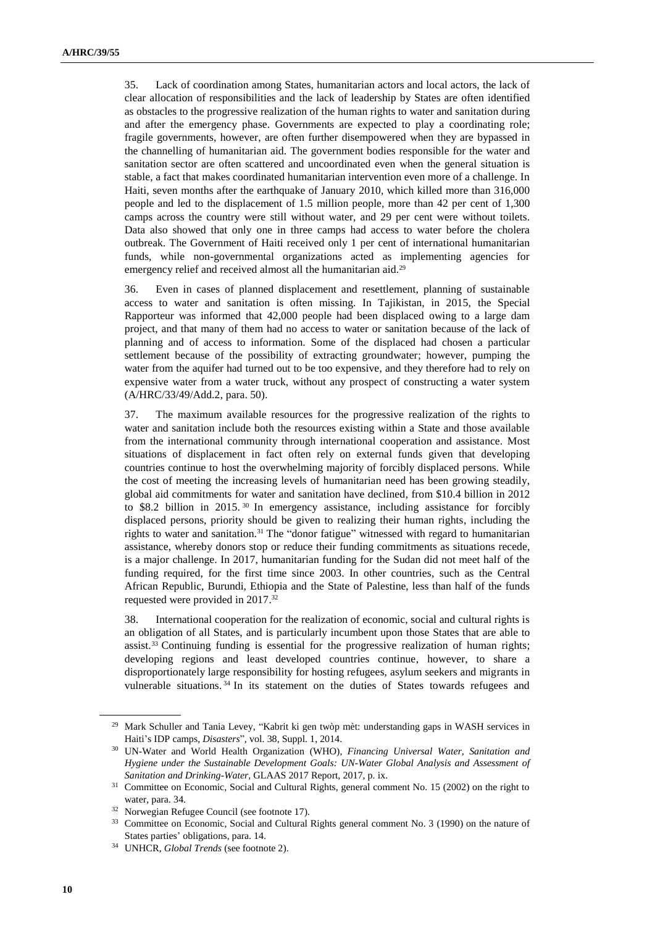35. Lack of coordination among States, humanitarian actors and local actors, the lack of clear allocation of responsibilities and the lack of leadership by States are often identified as obstacles to the progressive realization of the human rights to water and sanitation during and after the emergency phase. Governments are expected to play a coordinating role; fragile governments, however, are often further disempowered when they are bypassed in the channelling of humanitarian aid. The government bodies responsible for the water and sanitation sector are often scattered and uncoordinated even when the general situation is stable, a fact that makes coordinated humanitarian intervention even more of a challenge. In Haiti, seven months after the earthquake of January 2010, which killed more than 316,000 people and led to the displacement of 1.5 million people, more than 42 per cent of 1,300 camps across the country were still without water, and 29 per cent were without toilets. Data also showed that only one in three camps had access to water before the cholera outbreak. The Government of Haiti received only 1 per cent of international humanitarian funds, while non-governmental organizations acted as implementing agencies for emergency relief and received almost all the humanitarian aid.<sup>29</sup>

36. Even in cases of planned displacement and resettlement, planning of sustainable access to water and sanitation is often missing. In Tajikistan, in 2015, the Special Rapporteur was informed that 42,000 people had been displaced owing to a large dam project, and that many of them had no access to water or sanitation because of the lack of planning and of access to information. Some of the displaced had chosen a particular settlement because of the possibility of extracting groundwater; however, pumping the water from the aquifer had turned out to be too expensive, and they therefore had to rely on expensive water from a water truck, without any prospect of constructing a water system (A/HRC/33/49/Add.2, para. 50).

37. The maximum available resources for the progressive realization of the rights to water and sanitation include both the resources existing within a State and those available from the international community through international cooperation and assistance. Most situations of displacement in fact often rely on external funds given that developing countries continue to host the overwhelming majority of forcibly displaced persons. While the cost of meeting the increasing levels of humanitarian need has been growing steadily, global aid commitments for water and sanitation have declined, from \$10.4 billion in 2012 to \$8.2 billion in 2015.<sup>30</sup> In emergency assistance, including assistance for forcibly displaced persons, priority should be given to realizing their human rights, including the rights to water and sanitation.<sup>31</sup> The "donor fatigue" witnessed with regard to humanitarian assistance, whereby donors stop or reduce their funding commitments as situations recede, is a major challenge. In 2017, humanitarian funding for the Sudan did not meet half of the funding required, for the first time since 2003. In other countries, such as the Central African Republic, Burundi, Ethiopia and the State of Palestine, less than half of the funds requested were provided in 2017. 32

38. International cooperation for the realization of economic, social and cultural rights is an obligation of all States, and is particularly incumbent upon those States that are able to assist.<sup>33</sup> Continuing funding is essential for the progressive realization of human rights; developing regions and least developed countries continue, however, to share a disproportionately large responsibility for hosting refugees, asylum seekers and migrants in vulnerable situations. <sup>34</sup> In its statement on the duties of States towards refugees and

<sup>29</sup> Mark Schuller and Tania Levey, "Kabrit ki gen twòp mèt: understanding gaps in WASH services in Haiti's IDP camps, *Disasters*", vol. 38, Suppl. 1, 2014.

<sup>30</sup> UN-Water and World Health Organization (WHO), *Financing Universal Water, Sanitation and Hygiene under the Sustainable Development Goals: UN-Water Global Analysis and Assessment of Sanitation and Drinking-Water*, GLAAS 2017 Report, 2017, p. ix.

<sup>&</sup>lt;sup>31</sup> Committee on Economic, Social and Cultural Rights, general comment No. 15 (2002) on the right to water, para. 34.

<sup>32</sup> Norwegian Refugee Council (see footnote 17).

<sup>&</sup>lt;sup>33</sup> Committee on Economic, Social and Cultural Rights general comment No. 3 (1990) on the nature of States parties' obligations, para. 14.

<sup>34</sup> UNHCR, *Global Trends* (see footnote 2).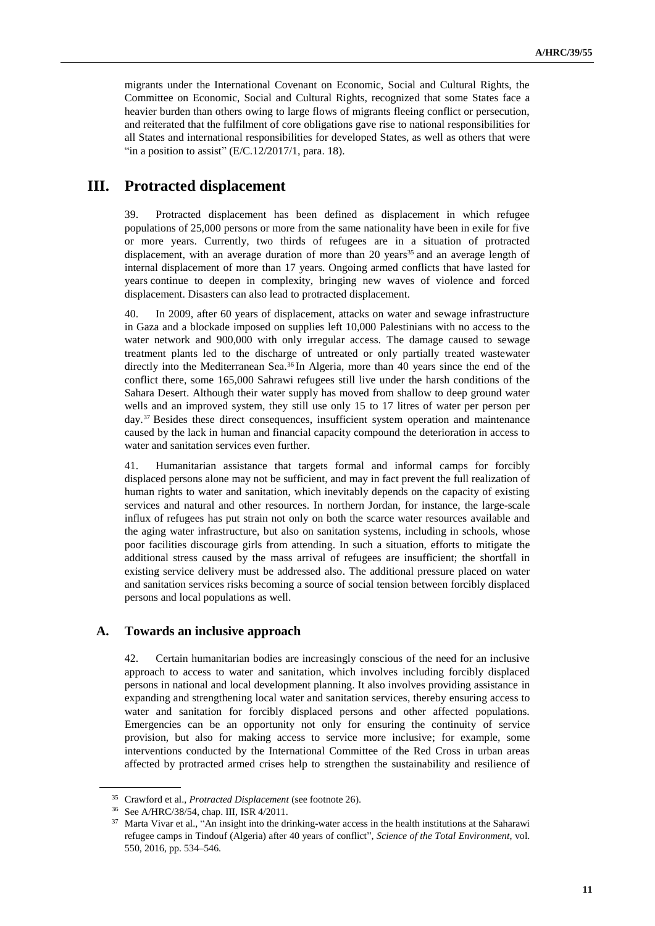migrants under the International Covenant on Economic, Social and Cultural Rights, the Committee on Economic, Social and Cultural Rights, recognized that some States face a heavier burden than others owing to large flows of migrants fleeing conflict or persecution, and reiterated that the fulfilment of core obligations gave rise to national responsibilities for all States and international responsibilities for developed States, as well as others that were "in a position to assist"  $(E/C.12/2017/1, \text{ para. } 18)$ .

### **III. Protracted displacement**

39. Protracted displacement has been defined as displacement in which refugee populations of 25,000 persons or more from the same nationality have been in exile for five or more years. Currently, two thirds of refugees are in a situation of protracted displacement, with an average duration of more than 20 years<sup>35</sup> and an average length of internal displacement of more than 17 years. Ongoing armed conflicts that have lasted for years continue to deepen in complexity, bringing new waves of violence and forced displacement. Disasters can also lead to protracted displacement.

40. In 2009, after 60 years of displacement, attacks on water and sewage infrastructure in Gaza and a blockade imposed on supplies left 10,000 Palestinians with no access to the water network and 900,000 with only irregular access. The damage caused to sewage treatment plants led to the discharge of untreated or only partially treated wastewater directly into the Mediterranean Sea.<sup>36</sup> In Algeria, more than 40 years since the end of the conflict there, some 165,000 Sahrawi refugees still live under the harsh conditions of the Sahara Desert. Although their water supply has moved from shallow to deep ground water wells and an improved system, they still use only 15 to 17 litres of water per person per day. <sup>37</sup> Besides these direct consequences, insufficient system operation and maintenance caused by the lack in human and financial capacity compound the deterioration in access to water and sanitation services even further.

41. Humanitarian assistance that targets formal and informal camps for forcibly displaced persons alone may not be sufficient, and may in fact prevent the full realization of human rights to water and sanitation, which inevitably depends on the capacity of existing services and natural and other resources. In northern Jordan, for instance, the large-scale influx of refugees has put strain not only on both the scarce water resources available and the aging water infrastructure, but also on sanitation systems, including in schools, whose poor facilities discourage girls from attending. In such a situation, efforts to mitigate the additional stress caused by the mass arrival of refugees are insufficient; the shortfall in existing service delivery must be addressed also. The additional pressure placed on water and sanitation services risks becoming a source of social tension between forcibly displaced persons and local populations as well.

#### **A. Towards an inclusive approach**

42. Certain humanitarian bodies are increasingly conscious of the need for an inclusive approach to access to water and sanitation, which involves including forcibly displaced persons in national and local development planning. It also involves providing assistance in expanding and strengthening local water and sanitation services, thereby ensuring access to water and sanitation for forcibly displaced persons and other affected populations. Emergencies can be an opportunity not only for ensuring the continuity of service provision, but also for making access to service more inclusive; for example, some interventions conducted by the International Committee of the Red Cross in urban areas affected by protracted armed crises help to strengthen the sustainability and resilience of

<sup>35</sup> Crawford et al., *Protracted Displacement* (see footnote 26).

<sup>36</sup> See A/HRC/38/54, chap. III[, ISR 4/2011.](https://spcommreports.ohchr.org/TMResultsBase/DownLoadPublicCommunicationFile?gId=16443)

<sup>&</sup>lt;sup>37</sup> Marta Vivar et al., "An insight into the drinking-water access in the health institutions at the Saharawi refugee camps in Tindouf (Algeria) after 40 years of conflict", *Science of the Total Environment*, vol. 550, 2016, pp. 534–546.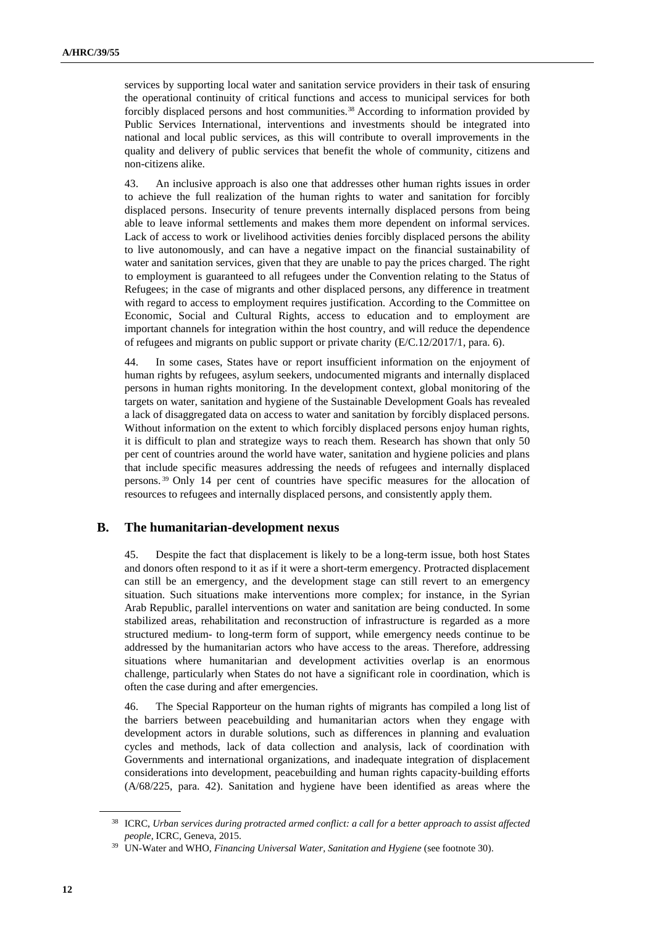services by supporting local water and sanitation service providers in their task of ensuring the operational continuity of critical functions and access to municipal services for both forcibly displaced persons and host communities.<sup>38</sup> According to information provided by Public Services International, interventions and investments should be integrated into national and local public services, as this will contribute to overall improvements in the quality and delivery of public services that benefit the whole of community, citizens and non-citizens alike.

43. An inclusive approach is also one that addresses other human rights issues in order to achieve the full realization of the human rights to water and sanitation for forcibly displaced persons. Insecurity of tenure prevents internally displaced persons from being able to leave informal settlements and makes them more dependent on informal services. Lack of access to work or livelihood activities denies forcibly displaced persons the ability to live autonomously, and can have a negative impact on the financial sustainability of water and sanitation services, given that they are unable to pay the prices charged. The right to employment is guaranteed to all refugees under the Convention relating to the Status of Refugees; in the case of migrants and other displaced persons, any difference in treatment with regard to access to employment requires justification. According to the Committee on Economic, Social and Cultural Rights, access to education and to employment are important channels for integration within the host country, and will reduce the dependence of refugees and migrants on public support or private charity (E/C.12/2017/1, para. 6).

44. In some cases, States have or report insufficient information on the enjoyment of human rights by refugees, asylum seekers, undocumented migrants and internally displaced persons in human rights monitoring. In the development context, global monitoring of the targets on water, sanitation and hygiene of the Sustainable Development Goals has revealed a lack of disaggregated data on access to water and sanitation by forcibly displaced persons. Without information on the extent to which forcibly displaced persons enjoy human rights, it is difficult to plan and strategize ways to reach them. Research has shown that only 50 per cent of countries around the world have water, sanitation and hygiene policies and plans that include specific measures addressing the needs of refugees and internally displaced persons. <sup>39</sup> Only 14 per cent of countries have specific measures for the allocation of resources to refugees and internally displaced persons, and consistently apply them.

#### **B. The humanitarian-development nexus**

45. Despite the fact that displacement is likely to be a long-term issue, both host States and donors often respond to it as if it were a short-term emergency. Protracted displacement can still be an emergency, and the development stage can still revert to an emergency situation. Such situations make interventions more complex; for instance, in the Syrian Arab Republic, parallel interventions on water and sanitation are being conducted. In some stabilized areas, rehabilitation and reconstruction of infrastructure is regarded as a more structured medium- to long-term form of support, while emergency needs continue to be addressed by the humanitarian actors who have access to the areas. Therefore, addressing situations where humanitarian and development activities overlap is an enormous challenge, particularly when States do not have a significant role in coordination, which is often the case during and after emergencies.

46. The Special Rapporteur on the human rights of migrants has compiled a long list of the barriers between peacebuilding and humanitarian actors when they engage with development actors in durable solutions, such as differences in planning and evaluation cycles and methods, lack of data collection and analysis, lack of coordination with Governments and international organizations, and inadequate integration of displacement considerations into development, peacebuilding and human rights capacity-building efforts (A/68/225, para. 42). Sanitation and hygiene have been identified as areas where the

<sup>38</sup> ICRC, *Urban services during protracted armed conflict: a call for a better approach to assist affected people*, ICRC, Geneva, 2015.

<sup>39</sup> UN-Water and WHO, *Financing Universal Water, Sanitation and Hygiene* (see footnote 30).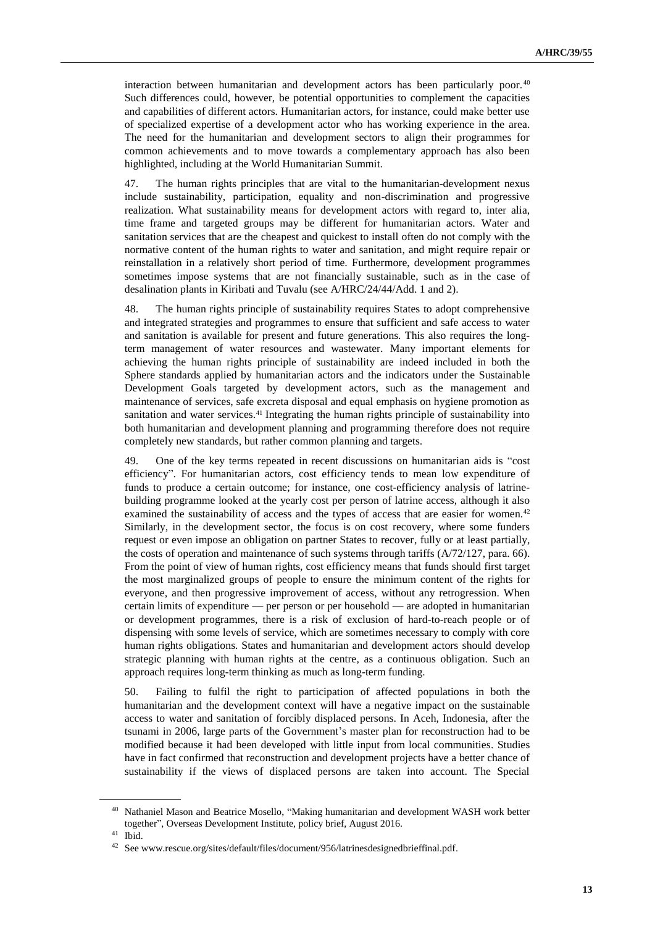interaction between humanitarian and development actors has been particularly poor. 40 Such differences could, however, be potential opportunities to complement the capacities and capabilities of different actors. Humanitarian actors, for instance, could make better use of specialized expertise of a development actor who has working experience in the area. The need for the humanitarian and development sectors to align their programmes for common achievements and to move towards a complementary approach has also been highlighted, including at the World Humanitarian Summit.

47. The human rights principles that are vital to the humanitarian-development nexus include sustainability, participation, equality and non-discrimination and progressive realization. What sustainability means for development actors with regard to, inter alia, time frame and targeted groups may be different for humanitarian actors. Water and sanitation services that are the cheapest and quickest to install often do not comply with the normative content of the human rights to water and sanitation, and might require repair or reinstallation in a relatively short period of time. Furthermore, development programmes sometimes impose systems that are not financially sustainable, such as in the case of desalination plants in Kiribati and Tuvalu (see A/HRC/24/44/Add. 1 and 2).

48. The human rights principle of sustainability requires States to adopt comprehensive and integrated strategies and programmes to ensure that sufficient and safe access to water and sanitation is available for present and future generations. This also requires the longterm management of water resources and wastewater. Many important elements for achieving the human rights principle of sustainability are indeed included in both the Sphere standards applied by humanitarian actors and the indicators under the Sustainable Development Goals targeted by development actors, such as the management and maintenance of services, safe excreta disposal and equal emphasis on hygiene promotion as sanitation and water services.<sup>41</sup> Integrating the human rights principle of sustainability into both humanitarian and development planning and programming therefore does not require completely new standards, but rather common planning and targets.

49. One of the key terms repeated in recent discussions on humanitarian aids is "cost efficiency". For humanitarian actors, cost efficiency tends to mean low expenditure of funds to produce a certain outcome; for instance, one cost-efficiency analysis of latrinebuilding programme looked at the yearly cost per person of latrine access, although it also examined the sustainability of access and the types of access that are easier for women.<sup>42</sup> Similarly, in the development sector, the focus is on cost recovery, where some funders request or even impose an obligation on partner States to recover, fully or at least partially, the costs of operation and maintenance of such systems through tariffs (A/72/127, para. 66). From the point of view of human rights, cost efficiency means that funds should first target the most marginalized groups of people to ensure the minimum content of the rights for everyone, and then progressive improvement of access, without any retrogression. When certain limits of expenditure — per person or per household — are adopted in humanitarian or development programmes, there is a risk of exclusion of hard-to-reach people or of dispensing with some levels of service, which are sometimes necessary to comply with core human rights obligations. States and humanitarian and development actors should develop strategic planning with human rights at the centre, as a continuous obligation. Such an approach requires long-term thinking as much as long-term funding.

50. Failing to fulfil the right to participation of affected populations in both the humanitarian and the development context will have a negative impact on the sustainable access to water and sanitation of forcibly displaced persons. In Aceh, Indonesia, after the tsunami in 2006, large parts of the Government's master plan for reconstruction had to be modified because it had been developed with little input from local communities. Studies have in fact confirmed that reconstruction and development projects have a better chance of sustainability if the views of displaced persons are taken into account. The Special

<sup>40</sup> Nathaniel Mason and Beatrice Mosello, "Making humanitarian and development WASH work better together", Overseas Development Institute, policy brief, August 2016.

<sup>41</sup> Ibid.

<sup>42</sup> See www.rescue.org/sites/default/files/document/956/latrinesdesignedbrieffinal.pdf.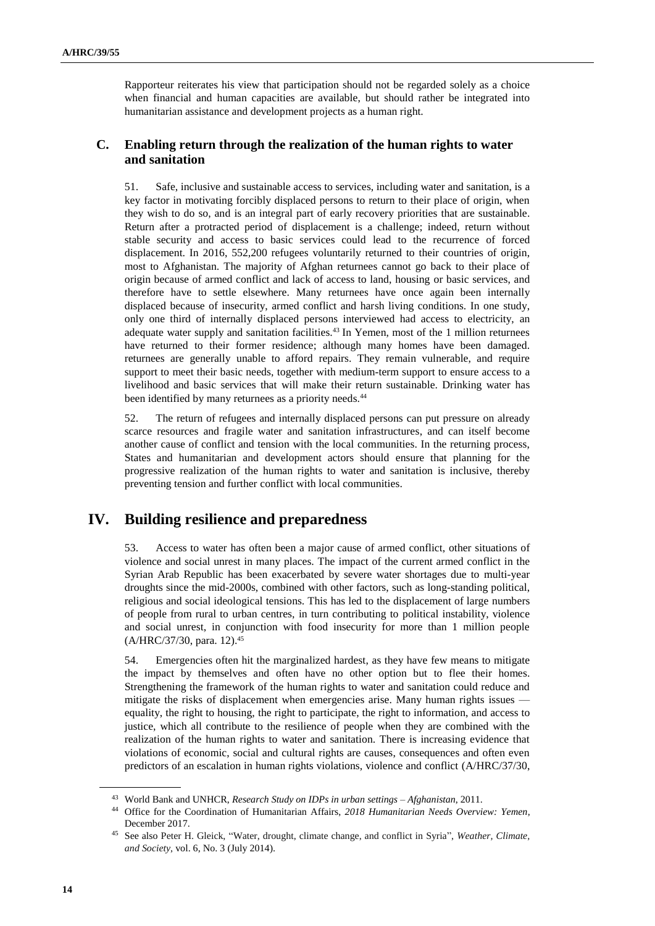Rapporteur reiterates his view that participation should not be regarded solely as a choice when financial and human capacities are available, but should rather be integrated into humanitarian assistance and development projects as a human right.

### **C. Enabling return through the realization of the human rights to water and sanitation**

51. Safe, inclusive and sustainable access to services, including water and sanitation, is a key factor in motivating forcibly displaced persons to return to their place of origin, when they wish to do so, and is an integral part of early recovery priorities that are sustainable. Return after a protracted period of displacement is a challenge; indeed, return without stable security and access to basic services could lead to the recurrence of forced displacement. In 2016, 552,200 refugees voluntarily returned to their countries of origin, most to Afghanistan. The majority of Afghan returnees cannot go back to their place of origin because of armed conflict and lack of access to land, housing or basic services, and therefore have to settle elsewhere. Many returnees have once again been internally displaced because of insecurity, armed conflict and harsh living conditions. In one study, only one third of internally displaced persons interviewed had access to electricity, an adequate water supply and sanitation facilities.<sup>43</sup> In Yemen, most of the 1 million returnees have returned to their former residence; although many homes have been damaged. returnees are generally unable to afford repairs. They remain vulnerable, and require support to meet their basic needs, together with medium-term support to ensure access to a livelihood and basic services that will make their return sustainable. Drinking water has been identified by many returnees as a priority needs.<sup>44</sup>

52. The return of refugees and internally displaced persons can put pressure on already scarce resources and fragile water and sanitation infrastructures, and can itself become another cause of conflict and tension with the local communities. In the returning process, States and humanitarian and development actors should ensure that planning for the progressive realization of the human rights to water and sanitation is inclusive, thereby preventing tension and further conflict with local communities.

## **IV. Building resilience and preparedness**

53. Access to water has often been a major cause of armed conflict, other situations of violence and social unrest in many places. The impact of the current armed conflict in the Syrian Arab Republic has been exacerbated by severe water shortages due to multi-year droughts since the mid-2000s, combined with other factors, such as long-standing political, religious and social ideological tensions. This has led to the displacement of large numbers of people from rural to urban centres, in turn contributing to political instability, violence and social unrest, in conjunction with food insecurity for more than 1 million people (A/HRC/37/30, para. 12). 45

54. Emergencies often hit the marginalized hardest, as they have few means to mitigate the impact by themselves and often have no other option but to flee their homes. Strengthening the framework of the human rights to water and sanitation could reduce and mitigate the risks of displacement when emergencies arise. Many human rights issues equality, the right to housing, the right to participate, the right to information, and access to justice, which all contribute to the resilience of people when they are combined with the realization of the human rights to water and sanitation. There is increasing evidence that violations of economic, social and cultural rights are causes, consequences and often even predictors of an escalation in human rights violations, violence and conflict (A/HRC/37/30,

<sup>43</sup> World Bank and UNHCR, *Research Study on IDPs in urban settings – Afghanistan*, 2011.

<sup>44</sup> Office for the Coordination of Humanitarian Affairs, *2018 Humanitarian Needs Overview: Yemen*, December 2017.

<sup>45</sup> See also Peter H. Gleick, "Water, drought, climate change, and conflict in Syria", *Weather, Climate, and Society*, vol. 6, No. 3 (July 2014).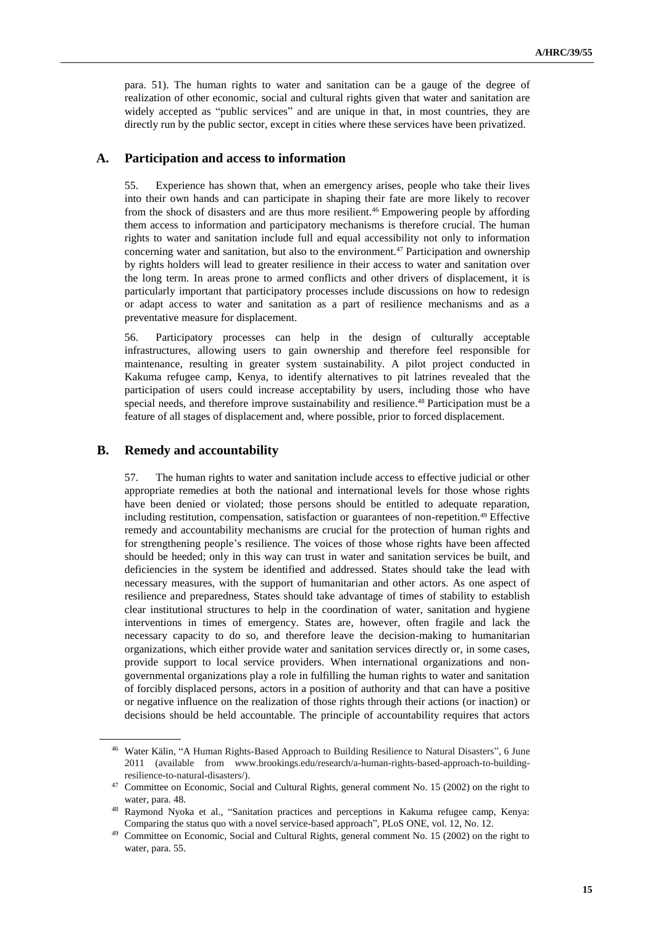para. 51). The human rights to water and sanitation can be a gauge of the degree of realization of other economic, social and cultural rights given that water and sanitation are widely accepted as "public services" and are unique in that, in most countries, they are directly run by the public sector, except in cities where these services have been privatized.

#### **A. Participation and access to information**

55. Experience has shown that, when an emergency arises, people who take their lives into their own hands and can participate in shaping their fate are more likely to recover from the shock of disasters and are thus more resilient.<sup>46</sup> Empowering people by affording them access to information and participatory mechanisms is therefore crucial. The human rights to water and sanitation include full and equal accessibility not only to information concerning water and sanitation, but also to the environment.<sup>47</sup> Participation and ownership by rights holders will lead to greater resilience in their access to water and sanitation over the long term. In areas prone to armed conflicts and other drivers of displacement, it is particularly important that participatory processes include discussions on how to redesign or adapt access to water and sanitation as a part of resilience mechanisms and as a preventative measure for displacement.

56. Participatory processes can help in the design of culturally acceptable infrastructures, allowing users to gain ownership and therefore feel responsible for maintenance, resulting in greater system sustainability. A pilot project conducted in Kakuma refugee camp, Kenya, to identify alternatives to pit latrines revealed that the participation of users could increase acceptability by users, including those who have special needs, and therefore improve sustainability and resilience.<sup>48</sup> Participation must be a feature of all stages of displacement and, where possible, prior to forced displacement.

### **B. Remedy and accountability**

57. The human rights to water and sanitation include access to effective judicial or other appropriate remedies at both the national and international levels for those whose rights have been denied or violated; those persons should be entitled to adequate reparation, including restitution, compensation, satisfaction or guarantees of non-repetition.<sup>49</sup> Effective remedy and accountability mechanisms are crucial for the protection of human rights and for strengthening people's resilience. The voices of those whose rights have been affected should be heeded; only in this way can trust in water and sanitation services be built, and deficiencies in the system be identified and addressed. States should take the lead with necessary measures, with the support of humanitarian and other actors. As one aspect of resilience and preparedness, States should take advantage of times of stability to establish clear institutional structures to help in the coordination of water, sanitation and hygiene interventions in times of emergency. States are, however, often fragile and lack the necessary capacity to do so, and therefore leave the decision-making to humanitarian organizations, which either provide water and sanitation services directly or, in some cases, provide support to local service providers. When international organizations and nongovernmental organizations play a role in fulfilling the human rights to water and sanitation of forcibly displaced persons, actors in a position of authority and that can have a positive or negative influence on the realization of those rights through their actions (or inaction) or decisions should be held accountable. The principle of accountability requires that actors

<sup>46</sup> Water Kälin, "A Human Rights-Based Approach to Building Resilience to Natural Disasters", 6 June 2011 (available from www.brookings.edu/research/a-human-rights-based-approach-to-buildingresilience-to-natural-disasters/).

<sup>&</sup>lt;sup>47</sup> Committee on Economic, Social and Cultural Rights, general comment No. 15 (2002) on the right to water, para. 48.

<sup>48</sup> Raymond Nyoka et al., "Sanitation practices and perceptions in Kakuma refugee camp, Kenya: Comparing the status quo with a novel service-based approach", PLoS ONE, vol. 12, No. 12.

<sup>&</sup>lt;sup>49</sup> Committee on Economic, Social and Cultural Rights, general comment No. 15 (2002) on the right to water, para. 55.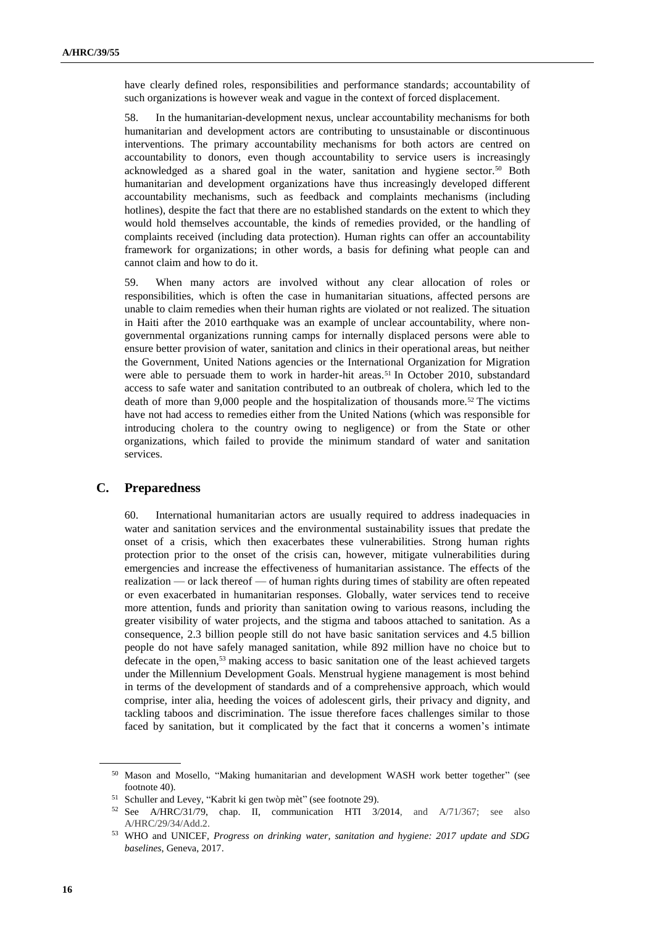have clearly defined roles, responsibilities and performance standards; accountability of such organizations is however weak and vague in the context of forced displacement.

58. In the humanitarian-development nexus, unclear accountability mechanisms for both humanitarian and development actors are contributing to unsustainable or discontinuous interventions. The primary accountability mechanisms for both actors are centred on accountability to donors, even though accountability to service users is increasingly acknowledged as a shared goal in the water, sanitation and hygiene sector.<sup>50</sup> Both humanitarian and development organizations have thus increasingly developed different accountability mechanisms, such as feedback and complaints mechanisms (including hotlines), despite the fact that there are no established standards on the extent to which they would hold themselves accountable, the kinds of remedies provided, or the handling of complaints received (including data protection). Human rights can offer an accountability framework for organizations; in other words, a basis for defining what people can and cannot claim and how to do it.

59. When many actors are involved without any clear allocation of roles or responsibilities, which is often the case in humanitarian situations, affected persons are unable to claim remedies when their human rights are violated or not realized. The situation in Haiti after the 2010 earthquake was an example of unclear accountability, where nongovernmental organizations running camps for internally displaced persons were able to ensure better provision of water, sanitation and clinics in their operational areas, but neither the Government, United Nations agencies or the International Organization for Migration were able to persuade them to work in harder-hit areas.<sup>51</sup> In October 2010, substandard access to safe water and sanitation contributed to an outbreak of cholera, which led to the death of more than 9,000 people and the hospitalization of thousands more.<sup>52</sup> The victims have not had access to remedies either from the United Nations (which was responsible for introducing cholera to the country owing to negligence) or from the State or other organizations, which failed to provide the minimum standard of water and sanitation services.

#### **C. Preparedness**

60. International humanitarian actors are usually required to address inadequacies in water and sanitation services and the environmental sustainability issues that predate the onset of a crisis, which then exacerbates these vulnerabilities. Strong human rights protection prior to the onset of the crisis can, however, mitigate vulnerabilities during emergencies and increase the effectiveness of humanitarian assistance. The effects of the realization — or lack thereof — of human rights during times of stability are often repeated or even exacerbated in humanitarian responses. Globally, water services tend to receive more attention, funds and priority than sanitation owing to various reasons, including the greater visibility of water projects, and the stigma and taboos attached to sanitation. As a consequence, 2.3 billion people still do not have basic sanitation services and 4.5 billion people do not have safely managed sanitation, while 892 million have no choice but to defecate in the open, <sup>53</sup> making access to basic sanitation one of the least achieved targets under the Millennium Development Goals. Menstrual hygiene management is most behind in terms of the development of standards and of a comprehensive approach, which would comprise, inter alia, heeding the voices of adolescent girls, their privacy and dignity, and tackling taboos and discrimination. The issue therefore faces challenges similar to those faced by sanitation, but it complicated by the fact that it concerns a women's intimate

<sup>50</sup> Mason and Mosello, "Making humanitarian and development WASH work better together" (see footnote 40).

<sup>51</sup> Schuller and Levey, "Kabrit ki gen twòp mèt" (see footnote 29).

 $52$  See A/HRC/31/79, chap. II, communication HTI [3/2014,](https://spcommreports.ohchr.org/TMResultsBase/DownLoadPublicCommunicationFile?gId=18990) and A/71/367; see also [A/HRC/29/34/Add.2.](https://www.ohchr.org/EN/HRBodies/HRC/RegularSessions/Session29/Documents/A_HRC_29_34_Add_2_en.doc)

<sup>53</sup> WHO and UNICEF, *Progress on drinking water, sanitation and hygiene: 2017 update and SDG baselines*, Geneva, 2017.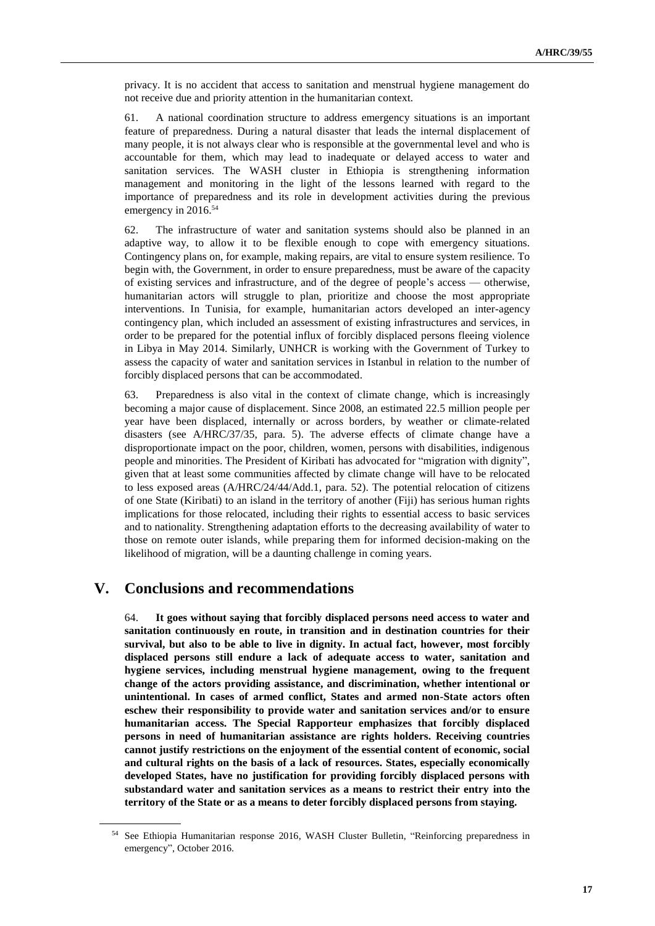privacy. It is no accident that access to sanitation and menstrual hygiene management do not receive due and priority attention in the humanitarian context.

61. A national coordination structure to address emergency situations is an important feature of preparedness. During a natural disaster that leads the internal displacement of many people, it is not always clear who is responsible at the governmental level and who is accountable for them, which may lead to inadequate or delayed access to water and sanitation services. The WASH cluster in Ethiopia is strengthening information management and monitoring in the light of the lessons learned with regard to the importance of preparedness and its role in development activities during the previous emergency in 2016. 54

62. The infrastructure of water and sanitation systems should also be planned in an adaptive way, to allow it to be flexible enough to cope with emergency situations. Contingency plans on, for example, making repairs, are vital to ensure system resilience. To begin with, the Government, in order to ensure preparedness, must be aware of the capacity of existing services and infrastructure, and of the degree of people's access — otherwise, humanitarian actors will struggle to plan, prioritize and choose the most appropriate interventions. In Tunisia, for example, humanitarian actors developed an inter-agency contingency plan, which included an assessment of existing infrastructures and services, in order to be prepared for the potential influx of forcibly displaced persons fleeing violence in Libya in May 2014. Similarly, UNHCR is working with the Government of Turkey to assess the capacity of water and sanitation services in Istanbul in relation to the number of forcibly displaced persons that can be accommodated.

63. Preparedness is also vital in the context of climate change, which is increasingly becoming a major cause of displacement. Since 2008, an estimated 22.5 million people per year have been displaced, internally or across borders, by weather or climate-related disasters (see A/HRC/37/35, para. 5). The adverse effects of climate change have a disproportionate impact on the poor, children, women, persons with disabilities, indigenous people and minorities. The President of Kiribati has advocated for "migration with dignity", given that at least some communities affected by climate change will have to be relocated to less exposed areas (A/HRC/24/44/Add.1, para. 52). The potential relocation of citizens of one State (Kiribati) to an island in the territory of another (Fiji) has serious human rights implications for those relocated, including their rights to essential access to basic services and to nationality. Strengthening adaptation efforts to the decreasing availability of water to those on remote outer islands, while preparing them for informed decision-making on the likelihood of migration, will be a daunting challenge in coming years.

### **V. Conclusions and recommendations**

64. **It goes without saying that forcibly displaced persons need access to water and sanitation continuously en route, in transition and in destination countries for their survival, but also to be able to live in dignity. In actual fact, however, most forcibly displaced persons still endure a lack of adequate access to water, sanitation and hygiene services, including menstrual hygiene management, owing to the frequent change of the actors providing assistance, and discrimination, whether intentional or unintentional. In cases of armed conflict, States and armed non-State actors often eschew their responsibility to provide water and sanitation services and/or to ensure humanitarian access. The Special Rapporteur emphasizes that forcibly displaced persons in need of humanitarian assistance are rights holders. Receiving countries cannot justify restrictions on the enjoyment of the essential content of economic, social and cultural rights on the basis of a lack of resources. States, especially economically developed States, have no justification for providing forcibly displaced persons with substandard water and sanitation services as a means to restrict their entry into the territory of the State or as a means to deter forcibly displaced persons from staying.**

<sup>54</sup> See Ethiopia Humanitarian response 2016, WASH Cluster Bulletin, "Reinforcing preparedness in emergency", October 2016.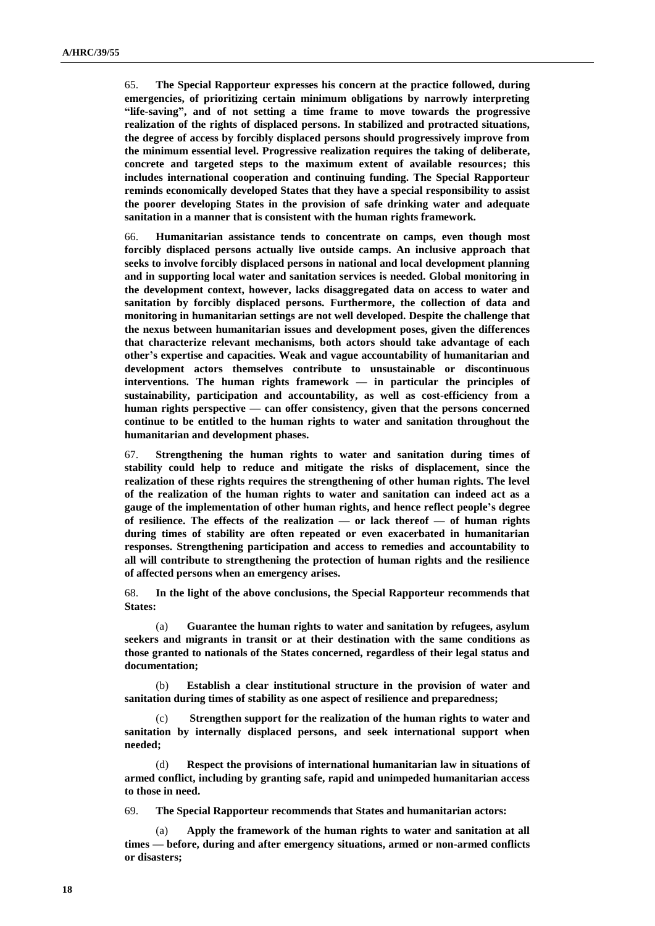65. **The Special Rapporteur expresses his concern at the practice followed, during emergencies, of prioritizing certain minimum obligations by narrowly interpreting "life-saving", and of not setting a time frame to move towards the progressive realization of the rights of displaced persons. In stabilized and protracted situations, the degree of access by forcibly displaced persons should progressively improve from the minimum essential level. Progressive realization requires the taking of deliberate, concrete and targeted steps to the maximum extent of available resources; this includes international cooperation and continuing funding. The Special Rapporteur reminds economically developed States that they have a special responsibility to assist the poorer developing States in the provision of safe drinking water and adequate sanitation in a manner that is consistent with the human rights framework.**

66. **Humanitarian assistance tends to concentrate on camps, even though most forcibly displaced persons actually live outside camps. An inclusive approach that seeks to involve forcibly displaced persons in national and local development planning and in supporting local water and sanitation services is needed. Global monitoring in the development context, however, lacks disaggregated data on access to water and sanitation by forcibly displaced persons. Furthermore, the collection of data and monitoring in humanitarian settings are not well developed. Despite the challenge that the nexus between humanitarian issues and development poses, given the differences that characterize relevant mechanisms, both actors should take advantage of each other's expertise and capacities. Weak and vague accountability of humanitarian and development actors themselves contribute to unsustainable or discontinuous interventions. The human rights framework — in particular the principles of sustainability, participation and accountability, as well as cost-efficiency from a human rights perspective — can offer consistency, given that the persons concerned continue to be entitled to the human rights to water and sanitation throughout the humanitarian and development phases.** 

67. **Strengthening the human rights to water and sanitation during times of stability could help to reduce and mitigate the risks of displacement, since the realization of these rights requires the strengthening of other human rights. The level of the realization of the human rights to water and sanitation can indeed act as a gauge of the implementation of other human rights, and hence reflect people's degree of resilience. The effects of the realization — or lack thereof — of human rights during times of stability are often repeated or even exacerbated in humanitarian responses. Strengthening participation and access to remedies and accountability to all will contribute to strengthening the protection of human rights and the resilience of affected persons when an emergency arises.** 

68. **In the light of the above conclusions, the Special Rapporteur recommends that States:**

(a) **Guarantee the human rights to water and sanitation by refugees, asylum seekers and migrants in transit or at their destination with the same conditions as those granted to nationals of the States concerned, regardless of their legal status and documentation;**

(b) **Establish a clear institutional structure in the provision of water and sanitation during times of stability as one aspect of resilience and preparedness;**

(c) **Strengthen support for the realization of the human rights to water and sanitation by internally displaced persons, and seek international support when needed;**

Respect the provisions of international humanitarian law in situations of **armed conflict, including by granting safe, rapid and unimpeded humanitarian access to those in need.**

69. **The Special Rapporteur recommends that States and humanitarian actors:** 

Apply the framework of the human rights to water and sanitation at all **times — before, during and after emergency situations, armed or non-armed conflicts or disasters;**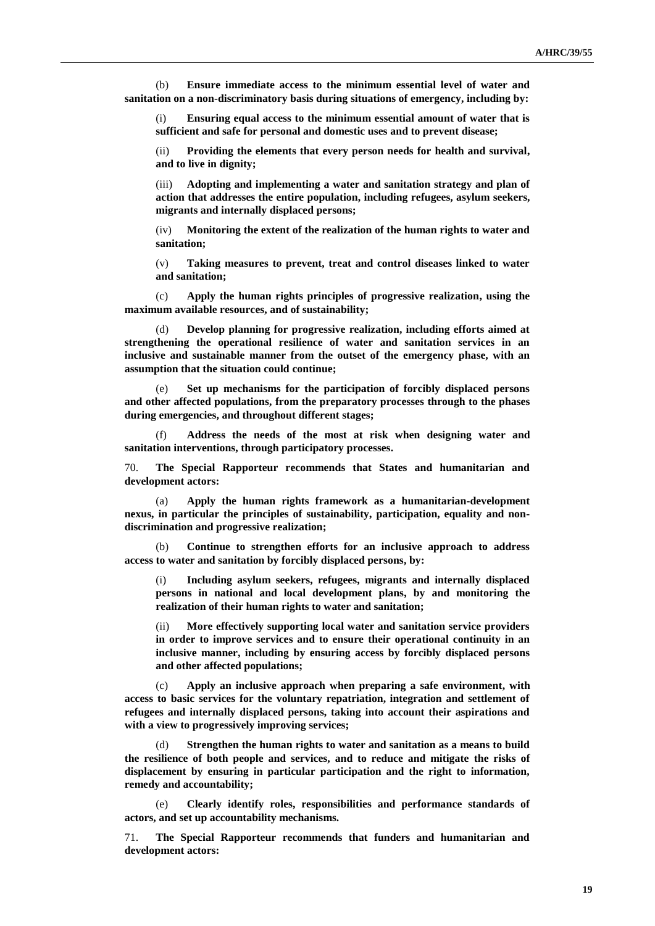(b) **Ensure immediate access to the minimum essential level of water and sanitation on a non-discriminatory basis during situations of emergency, including by:**

(i) **Ensuring equal access to the minimum essential amount of water that is sufficient and safe for personal and domestic uses and to prevent disease;**

(ii) **Providing the elements that every person needs for health and survival, and to live in dignity;** 

(iii) **Adopting and implementing a water and sanitation strategy and plan of action that addresses the entire population, including refugees, asylum seekers, migrants and internally displaced persons;** 

(iv) **Monitoring the extent of the realization of the human rights to water and sanitation;** 

(v) **Taking measures to prevent, treat and control diseases linked to water and sanitation;**

(c) **Apply the human rights principles of progressive realization, using the maximum available resources, and of sustainability;** 

(d) **Develop planning for progressive realization, including efforts aimed at strengthening the operational resilience of water and sanitation services in an inclusive and sustainable manner from the outset of the emergency phase, with an assumption that the situation could continue;**

(e) **Set up mechanisms for the participation of forcibly displaced persons and other affected populations, from the preparatory processes through to the phases during emergencies, and throughout different stages;**

(f) **Address the needs of the most at risk when designing water and sanitation interventions, through participatory processes.**

70. **The Special Rapporteur recommends that States and humanitarian and development actors:**

(a) **Apply the human rights framework as a humanitarian-development nexus, in particular the principles of sustainability, participation, equality and nondiscrimination and progressive realization;**

(b) **Continue to strengthen efforts for an inclusive approach to address access to water and sanitation by forcibly displaced persons, by:** 

(i) **Including asylum seekers, refugees, migrants and internally displaced persons in national and local development plans, by and monitoring the realization of their human rights to water and sanitation;**

(ii) **More effectively supporting local water and sanitation service providers in order to improve services and to ensure their operational continuity in an inclusive manner, including by ensuring access by forcibly displaced persons and other affected populations;**

(c) **Apply an inclusive approach when preparing a safe environment, with access to basic services for the voluntary repatriation, integration and settlement of refugees and internally displaced persons, taking into account their aspirations and with a view to progressively improving services;**

(d) **Strengthen the human rights to water and sanitation as a means to build the resilience of both people and services, and to reduce and mitigate the risks of displacement by ensuring in particular participation and the right to information, remedy and accountability;**

(e) **Clearly identify roles, responsibilities and performance standards of actors, and set up accountability mechanisms.**

71. **The Special Rapporteur recommends that funders and humanitarian and development actors:**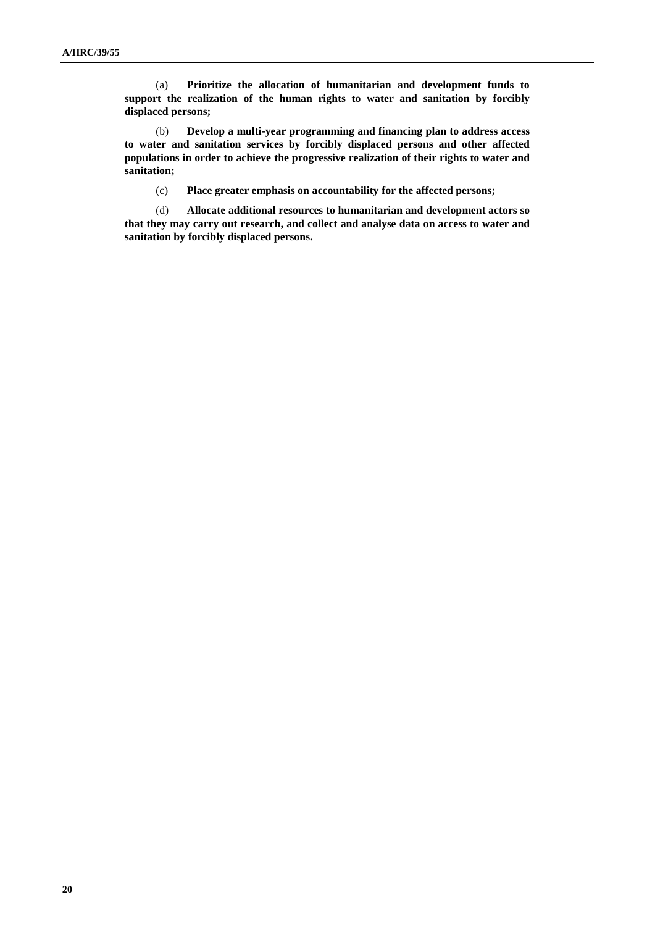(a) **Prioritize the allocation of humanitarian and development funds to support the realization of the human rights to water and sanitation by forcibly displaced persons;**

(b) **Develop a multi-year programming and financing plan to address access to water and sanitation services by forcibly displaced persons and other affected populations in order to achieve the progressive realization of their rights to water and sanitation;**

(c) **Place greater emphasis on accountability for the affected persons;**

(d) **Allocate additional resources to humanitarian and development actors so that they may carry out research, and collect and analyse data on access to water and sanitation by forcibly displaced persons.**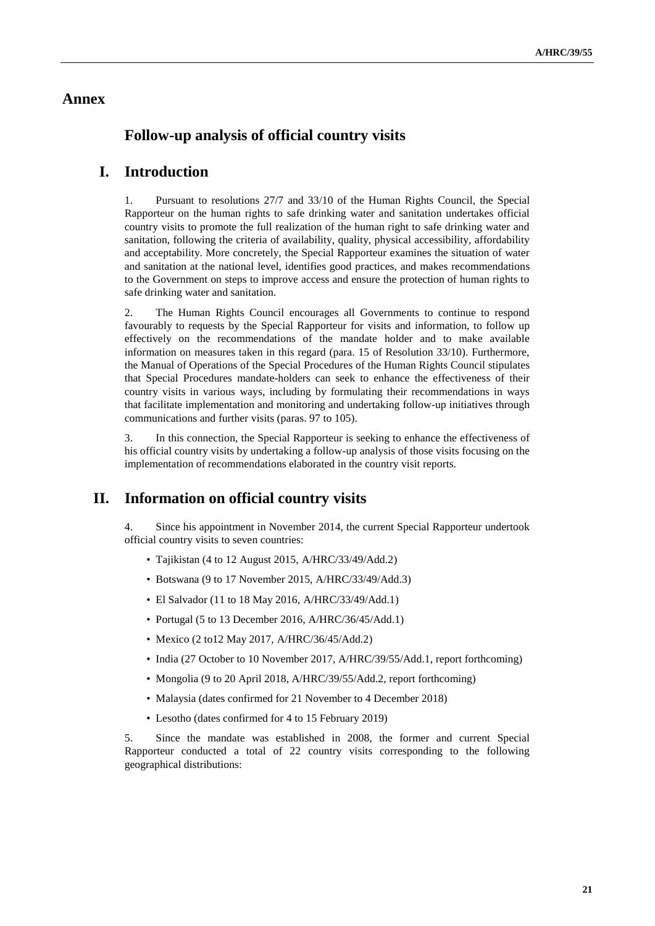### **Annex**

# **Follow-up analysis of official country visits**

## **I. Introduction**

1. Pursuant to resolutions 27/7 and 33/10 of the Human Rights Council, the Special Rapporteur on the human rights to safe drinking water and sanitation undertakes official country visits to promote the full realization of the human right to safe drinking water and sanitation, following the criteria of availability, quality, physical accessibility, affordability and acceptability. More concretely, the Special Rapporteur examines the situation of water and sanitation at the national level, identifies good practices, and makes recommendations to the Government on steps to improve access and ensure the protection of human rights to safe drinking water and sanitation.

2. The Human Rights Council encourages all Governments to continue to respond favourably to requests by the Special Rapporteur for visits and information, to follow up effectively on the recommendations of the mandate holder and to make available information on measures taken in this regard (para. 15 of Resolution 33/10). Furthermore, the Manual of Operations of the Special Procedures of the Human Rights Council stipulates that Special Procedures mandate-holders can seek to enhance the effectiveness of their country visits in various ways, including by formulating their recommendations in ways that facilitate implementation and monitoring and undertaking follow-up initiatives through communications and further visits (paras. 97 to 105).

3. In this connection, the Special Rapporteur is seeking to enhance the effectiveness of his official country visits by undertaking a follow-up analysis of those visits focusing on the implementation of recommendations elaborated in the country visit reports.

### **II. Information on official country visits**

4. Since his appointment in November 2014, the current Special Rapporteur undertook official country visits to seven countries:

- Tajikistan (4 to 12 August 2015, [A/HRC/33/49/Add.2\)](http://ap.ohchr.org/documents/dpage_e.aspx?si=A/HRC/33/49/Add.2)
- Botswana (9 to 17 November 2015, [A/HRC/33/49/Add.3\)](http://ap.ohchr.org/documents/dpage_e.aspx?si=A/HRC/33/49/Add.3)
- El Salvador (11 to 18 May 2016[, A/HRC/33/49/Add.1\)](http://ap.ohchr.org/documents/dpage_e.aspx?si=A/HRC/33/49/Add.1)
- Portugal (5 to 13 December 2016, [A/HRC/36/45/Add.1\)](http://ap.ohchr.org/documents/dpage_e.aspx?si=A/HRC/36/45/Add.1)
- Mexico (2 to12 May 2017[, A/HRC/36/45/Add.2\)](http://ap.ohchr.org/documents/dpage_e.aspx?si=A/HRC/36/45/Add.2)
- India (27 October to 10 November 2017, A/HRC/39/55/Add.1, report forthcoming)
- Mongolia (9 to 20 April 2018, A/HRC/39/55/Add.2, report forthcoming)
- Malaysia (dates confirmed for 21 November to 4 December 2018)
- Lesotho (dates confirmed for 4 to 15 February 2019)

5. Since the mandate was established in 2008, the former and current Special Rapporteur conducted a total of 22 country visits corresponding to the following geographical distributions: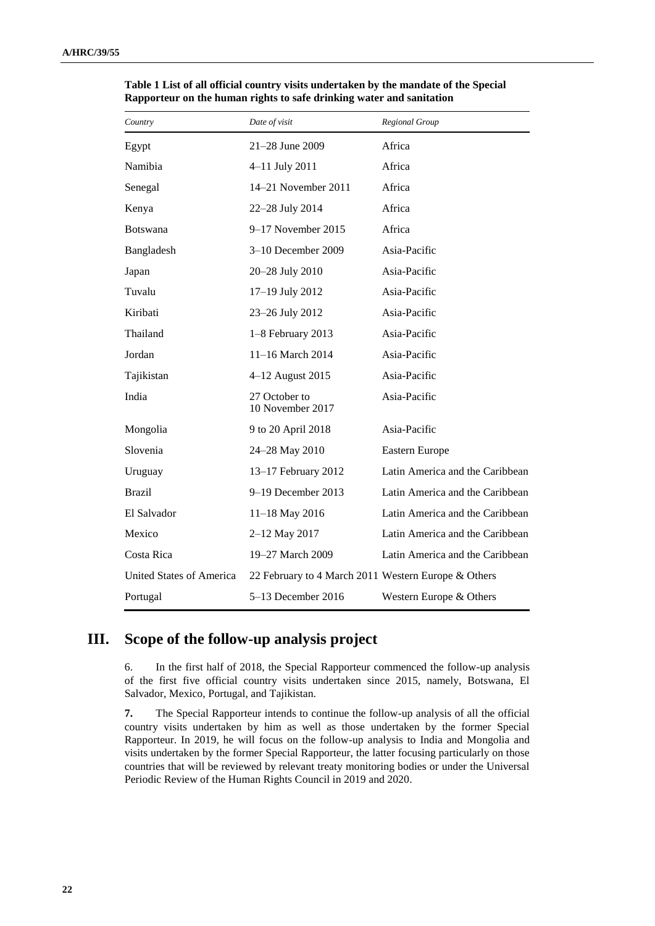| Country                  | Date of visit                                       | Regional Group                  |
|--------------------------|-----------------------------------------------------|---------------------------------|
| Egypt                    | 21-28 June 2009                                     | Africa                          |
| Namibia                  | 4-11 July 2011                                      | Africa                          |
| Senegal                  | 14–21 November 2011                                 | Africa                          |
| Kenya                    | 22-28 July 2014                                     | Africa                          |
| <b>Botswana</b>          | $9-17$ November 2015                                | Africa                          |
| Bangladesh               | $3-10$ December 2009                                | Asia-Pacific                    |
| Japan                    | 20-28 July 2010                                     | Asia-Pacific                    |
| Tuvalu                   | 17-19 July 2012                                     | Asia-Pacific                    |
| Kiribati                 | 23-26 July 2012                                     | Asia-Pacific                    |
| Thailand                 | 1-8 February 2013                                   | Asia-Pacific                    |
| Jordan                   | 11-16 March 2014                                    | Asia-Pacific                    |
| Tajikistan               | 4-12 August 2015                                    | Asia-Pacific                    |
| India                    | 27 October to<br>10 November 2017                   | Asia-Pacific                    |
| Mongolia                 | 9 to 20 April 2018                                  | Asia-Pacific                    |
| Slovenia                 | 24-28 May 2010                                      | Eastern Europe                  |
| Uruguay                  | 13-17 February 2012                                 | Latin America and the Caribbean |
| <b>Brazil</b>            | 9-19 December 2013                                  | Latin America and the Caribbean |
| El Salvador              | 11-18 May 2016                                      | Latin America and the Caribbean |
| Mexico                   | 2-12 May 2017                                       | Latin America and the Caribbean |
| Costa Rica               | 19-27 March 2009                                    | Latin America and the Caribbean |
| United States of America | 22 February to 4 March 2011 Western Europe & Others |                                 |
| Portugal                 | 5-13 December 2016                                  | Western Europe & Others         |

**Table 1 List of all official country visits undertaken by the mandate of the Special Rapporteur on the human rights to safe drinking water and sanitation**

# **III. Scope of the follow-up analysis project**

6. In the first half of 2018, the Special Rapporteur commenced the follow-up analysis of the first five official country visits undertaken since 2015, namely, Botswana, El Salvador, Mexico, Portugal, and Tajikistan.

**7.** The Special Rapporteur intends to continue the follow-up analysis of all the official country visits undertaken by him as well as those undertaken by the former Special Rapporteur. In 2019, he will focus on the follow-up analysis to India and Mongolia and visits undertaken by the former Special Rapporteur, the latter focusing particularly on those countries that will be reviewed by relevant treaty monitoring bodies or under the Universal Periodic Review of the Human Rights Council in 2019 and 2020.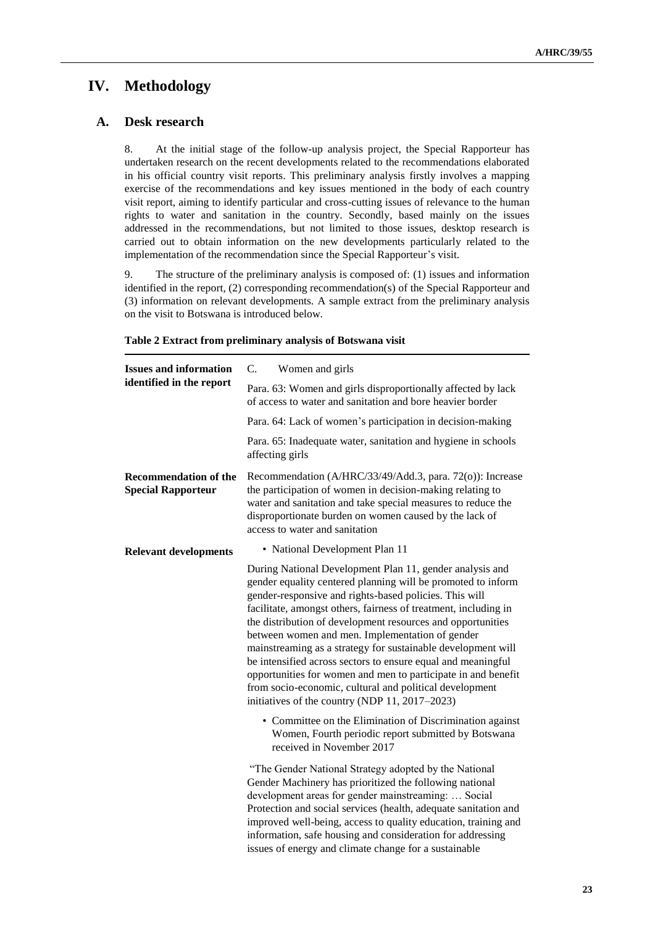# **IV. Methodology**

### **A. Desk research**

8. At the initial stage of the follow-up analysis project, the Special Rapporteur has undertaken research on the recent developments related to the recommendations elaborated in his official country visit reports. This preliminary analysis firstly involves a mapping exercise of the recommendations and key issues mentioned in the body of each country visit report, aiming to identify particular and cross-cutting issues of relevance to the human rights to water and sanitation in the country. Secondly, based mainly on the issues addressed in the recommendations, but not limited to those issues, desktop research is carried out to obtain information on the new developments particularly related to the implementation of the recommendation since the Special Rapporteur's visit.

9. The structure of the preliminary analysis is composed of: (1) issues and information identified in the report, (2) corresponding recommendation(s) of the Special Rapporteur and (3) information on relevant developments. A sample extract from the preliminary analysis on the visit to Botswana is introduced below.

| <b>Issues and information</b>                             | Women and girls<br>C.                                                                                                                                                                                                                                                                                                                                                                                                                                                                                                                                                                                                                                                                 |
|-----------------------------------------------------------|---------------------------------------------------------------------------------------------------------------------------------------------------------------------------------------------------------------------------------------------------------------------------------------------------------------------------------------------------------------------------------------------------------------------------------------------------------------------------------------------------------------------------------------------------------------------------------------------------------------------------------------------------------------------------------------|
| identified in the report                                  | Para. 63: Women and girls disproportionally affected by lack<br>of access to water and sanitation and bore heavier border                                                                                                                                                                                                                                                                                                                                                                                                                                                                                                                                                             |
|                                                           | Para. 64: Lack of women's participation in decision-making                                                                                                                                                                                                                                                                                                                                                                                                                                                                                                                                                                                                                            |
|                                                           | Para. 65: Inadequate water, sanitation and hygiene in schools<br>affecting girls                                                                                                                                                                                                                                                                                                                                                                                                                                                                                                                                                                                                      |
| <b>Recommendation of the</b><br><b>Special Rapporteur</b> | Recommendation (A/HRC/33/49/Add.3, para. 72(o)): Increase<br>the participation of women in decision-making relating to<br>water and sanitation and take special measures to reduce the<br>disproportionate burden on women caused by the lack of<br>access to water and sanitation                                                                                                                                                                                                                                                                                                                                                                                                    |
| <b>Relevant developments</b>                              | • National Development Plan 11                                                                                                                                                                                                                                                                                                                                                                                                                                                                                                                                                                                                                                                        |
|                                                           | During National Development Plan 11, gender analysis and<br>gender equality centered planning will be promoted to inform<br>gender-responsive and rights-based policies. This will<br>facilitate, amongst others, fairness of treatment, including in<br>the distribution of development resources and opportunities<br>between women and men. Implementation of gender<br>mainstreaming as a strategy for sustainable development will<br>be intensified across sectors to ensure equal and meaningful<br>opportunities for women and men to participate in and benefit<br>from socio-economic, cultural and political development<br>initiatives of the country (NDP 11, 2017–2023) |
|                                                           | • Committee on the Elimination of Discrimination against<br>Women, Fourth periodic report submitted by Botswana<br>received in November 2017                                                                                                                                                                                                                                                                                                                                                                                                                                                                                                                                          |
|                                                           | "The Gender National Strategy adopted by the National<br>Gender Machinery has prioritized the following national<br>development areas for gender mainstreaming:  Social<br>Protection and social services (health, adequate sanitation and<br>improved well-being, access to quality education, training and<br>information, safe housing and consideration for addressing<br>issues of energy and climate change for a sustainable                                                                                                                                                                                                                                                   |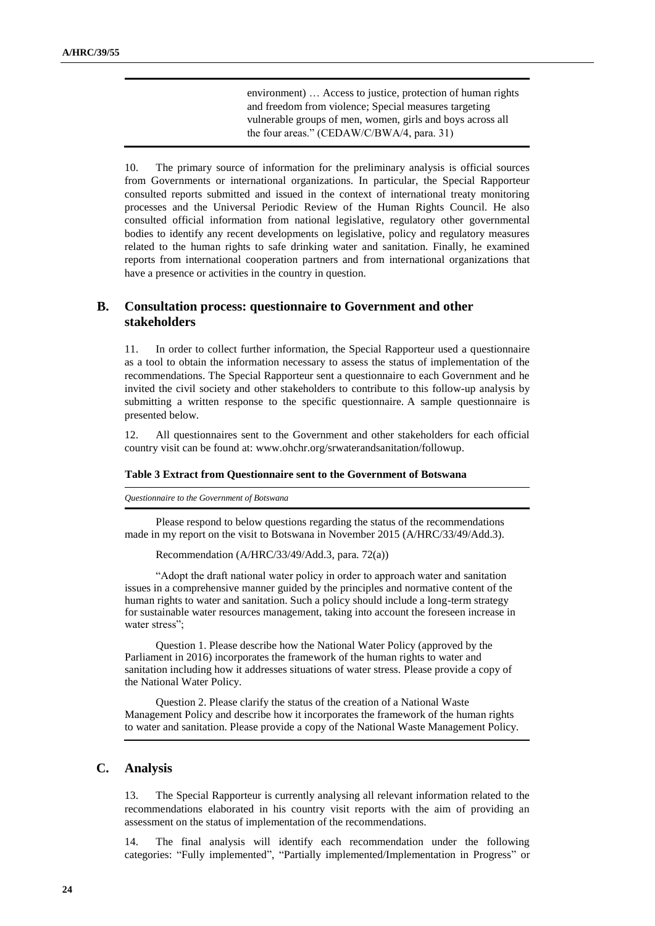environment) … Access to justice, protection of human rights and freedom from violence; Special measures targeting vulnerable groups of men, women, girls and boys across all the four areas." (CEDAW/C/BWA/4, para. 31)

10. The primary source of information for the preliminary analysis is official sources from Governments or international organizations. In particular, the Special Rapporteur consulted reports submitted and issued in the context of international treaty monitoring processes and the Universal Periodic Review of the Human Rights Council. He also consulted official information from national legislative, regulatory other governmental bodies to identify any recent developments on legislative, policy and regulatory measures related to the human rights to safe drinking water and sanitation. Finally, he examined reports from international cooperation partners and from international organizations that have a presence or activities in the country in question.

### **B. Consultation process: questionnaire to Government and other stakeholders**

11. In order to collect further information, the Special Rapporteur used a questionnaire as a tool to obtain the information necessary to assess the status of implementation of the recommendations. The Special Rapporteur sent a questionnaire to each Government and he invited the civil society and other stakeholders to contribute to this follow-up analysis by submitting a written response to the specific questionnaire. A sample questionnaire is presented below.

12. All questionnaires sent to the Government and other stakeholders for each official country visit can be found at: [www.ohchr.org/srwaterandsanitation/followup.](http://www.ohchr.org/srwaterandsanitation/followup)

#### **Table 3 Extract from Questionnaire sent to the Government of Botswana**

*Questionnaire to the Government of Botswana*

Please respond to below questions regarding the status of the recommendations made in my report on the visit to Botswana in November 2015 (A/HRC/33/49/Add.3).

Recommendation (A/HRC/33/49/Add.3, para. 72(a))

"Adopt the draft national water policy in order to approach water and sanitation issues in a comprehensive manner guided by the principles and normative content of the human rights to water and sanitation. Such a policy should include a long-term strategy for sustainable water resources management, taking into account the foreseen increase in water stress";

Question 1. Please describe how the National Water Policy (approved by the Parliament in 2016) incorporates the framework of the human rights to water and sanitation including how it addresses situations of water stress. Please provide a copy of the National Water Policy.

Question 2. Please clarify the status of the creation of a National Waste Management Policy and describe how it incorporates the framework of the human rights to water and sanitation. Please provide a copy of the National Waste Management Policy.

#### **C. Analysis**

13. The Special Rapporteur is currently analysing all relevant information related to the recommendations elaborated in his country visit reports with the aim of providing an assessment on the status of implementation of the recommendations.

14. The final analysis will identify each recommendation under the following categories: "Fully implemented", "Partially implemented/Implementation in Progress" or